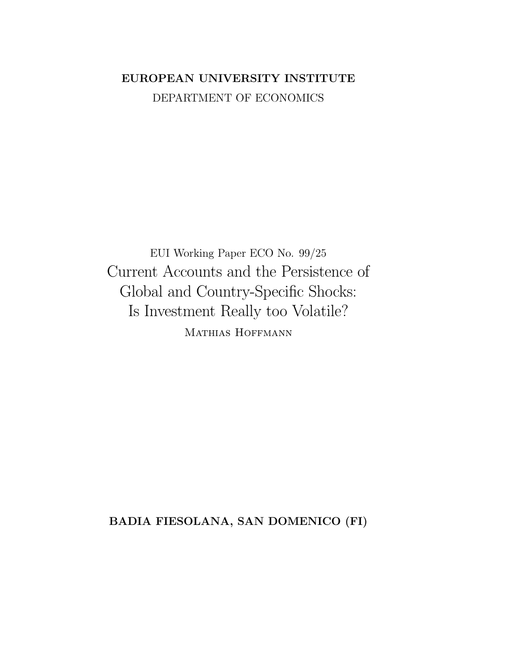## EUROPEAN UNIVERSITY INSTITUTE DEPARTMENT OF ECONOMICS

EUI Working Paper ECO No. 99/25 Current Accounts and the Persistence of Global and Country-Specific Shocks: Is Investment Really too Volatile? MATHIAS HOFFMANN

BADIA FIESOLANA, SAN DOMENICO (FI)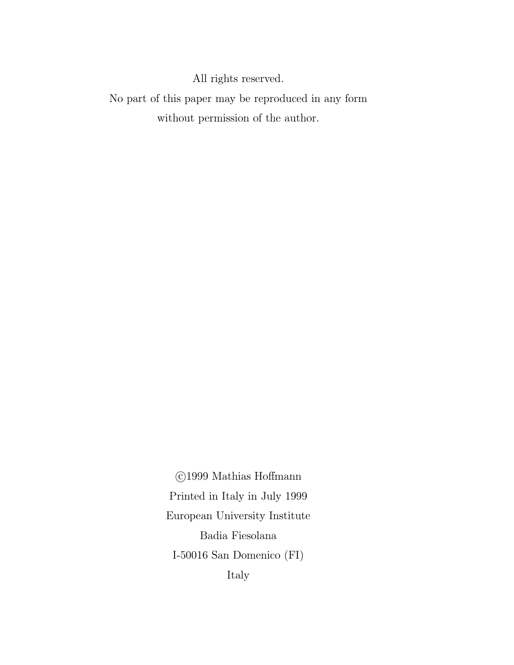All rights reserved.

No part of this paper may be reproduced in any form without permission of the author.

> ©1999 Mathias Hoffmann Printed in Italy in July 1999  $\,$ European University Institute Badia Fiesolana I-50016 San Domenico $(\mathrm{FI})$ Italy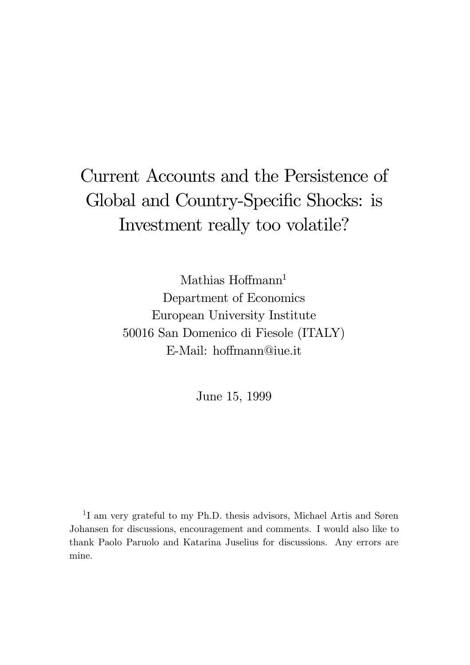# Current Accounts and the Persistence of Global and Country-Specific Shocks: is Investment really too volatile?

Mathias Hoffmann<sup>1</sup> Department of Economics European University Institute 50016 San Domenico di Fiesole (ITALY) E-Mail: hoffmann@iue.it

June 15, 1999

<sup>1</sup>I am very grateful to my Ph.D. thesis advisors, Michael Artis and Søren Johansen for discussions, encouragement and comments. I would also like to thank Paolo Paruolo and Katarina Juselius for discussions. Any errors are mine.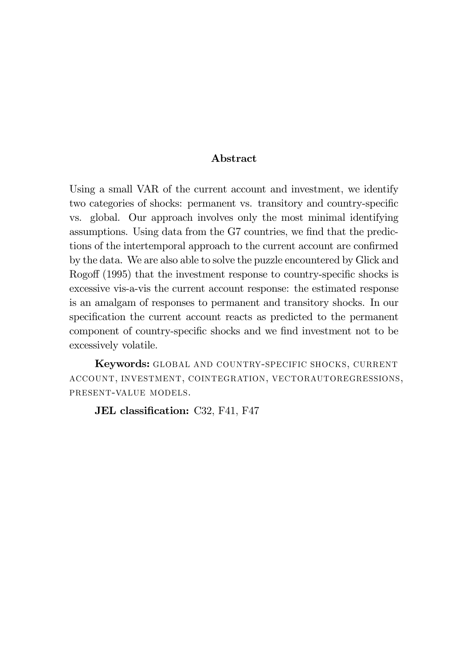### Abstract

Using a small VAR of the current account and investment, we identify two categories of shocks: permanent vs. transitory and country-specific ys. global. Our approach involves only the most minimal identifying assumptions. Using data from the G7 countries, we find that the predictions of the intertemporal approach to the current account are confirmed by the data. We are also able to solve the puzzle encountered by Glick and Rogoff  $(1995)$  that the investment response to country-specific shocks is excessive vis-a-vis the current account response: the estimated response is an amalgam of responses to permanent and transitory shocks. In our specification the current account reacts as predicted to the permanent component of country-specific shocks and we find investment not to be excessively volatile.

Keywords: GLOBAL AND COUNTRY-SPECIFIC SHOCKS, CURRENT ACCOUNT, INVESTMENT, COINTEGRATION, VECTORAUTOREGRESSIONS, PRESENT-VALUE MODELS.

JEL classification: C32, F41, F47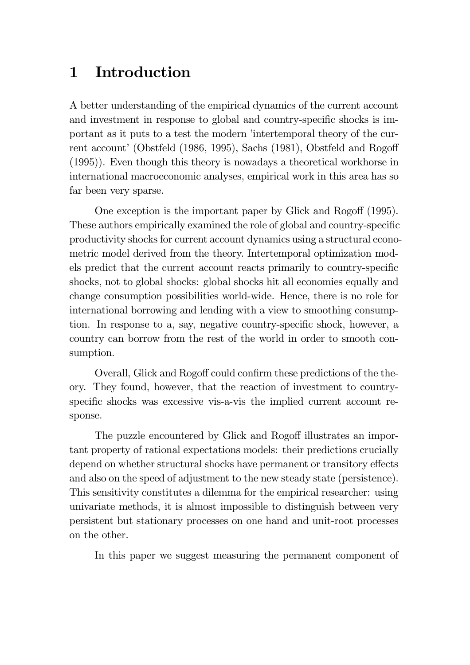## 1 Introduction

A better understanding of the empirical dynamics of the current account and investment in response to global and country-specific shocks is important as it puts to a test the modern 'intertemporal theory of the current account' (Obstfeld (1986, 1995), Sachs (1981), Obstfeld and Rogoff  $(1995)$ . Even though this theory is nowed ay a theoretical workhorse in international macroeconomic analyses, empirical work in this area has so far been very sparse.

One exception is the important paper by Glick and Rogoff  $(1995)$ . These authors empirically examined the role of global and country-specific productivity shocks for current account dynamics using a structural econometric model derived from the theory. Intertemporal optimization models predict that the current account reacts primarily to country-specific shocks, not to global shocks: global shocks hit all economies equally and change consumption possibilities world-wide. Hence, there is no role for international borrowing and lending with a view to smoothing consumption. In response to a, say, negative country-specific shock, however, a country can borrow from the rest of the world in order to smooth consumption.

Overall, Glick and Rogoff could confirm these predictions of the theory. They found, however, that the reaction of investment to countryspecific shocks was excessive vis-a-vis the implied current account response.

The puzzle encountered by Glick and Rogoff illustrates an important property of rational expectations models: their predictions crucially depend on whether structural shocks have permanent or transitory effects and also on the speed of adjustment to the new steady state (persistence). This sensitivity constitutes a dilemma for the empirical researcher: using univariate methods, it is almost impossible to distinguish between very persistent but stationary processes on one hand and unit-root processes on the other.

In this paper we suggest measuring the permanent component of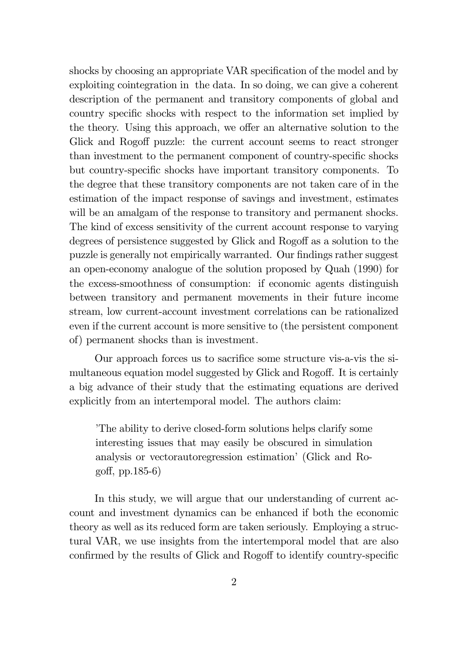shocks by choosing an appropriate VAR specification of the model and by exploiting cointegration in the data. In so doing, we can give a coherent description of the permanent and transitory components of global and fractured country specific shocks with respect to the information set implied by the theory. Using this approach, we offer an alternative solution to the Glick and Rogoff puzzle: the current account seems to react stronger than investment to the permanent component of country-specific shocks but country-specific shocks have important transitory components. To the degree that these transitory components are not taken care of in the estimation of the impact response of savings and investment, estimates will be an amalgam of the response to transitory and permanent shocks. The kind of excess sensitivity of the current account response to varying degrees of persistence suggested by Glick and Rogoff as a solution to the puzzle is generally not empirically warranted. Our findings rather suggest an open-economy analogue of the solution proposed by Quah  $(1990)$  for the excess-smoothness of consumption: if economic agents distinguish between transitory and permanent movements in their future income stream, low current-account investment correlations can be rationalized even if the current account is more sensitive to (the persistent component of) permanent shocks than is investment.

Our approach forces us to sacrifice some structure vis-a-vis the simultaneous equation model suggested by Glick and Rogoff. It is certainly a big advance of their study that the estimating equations are derived explicitly from an intertemporal model. The authors claim:

The ability to derive closed-form solutions helps clarify some interesting issues that may easily be obscured in simulation analysis or vectorautoregression estimation' (Glick and Rogoff, pp.  $185-6$ )

In this study, we will argue that our understanding of current acfraquent and investment dynamics can be enhanced if both the economic theory as well as its reduced form are taken seriously. Employing a structural VAR, we use insights from the intertemporal model that are also confirmed by the results of Glick and Rogoff to identify country-specific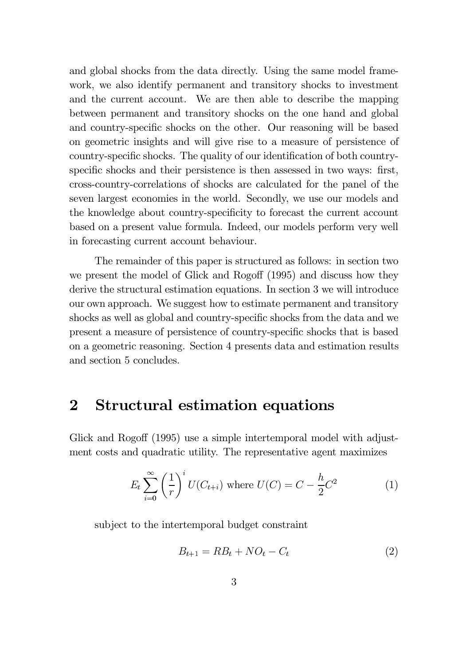and global shocks from the data directly. Using the same model framework, we also identify permanent and transitory shocks to investment and the current account. We are then able to describe the mapping between permanent and transitory shocks on the one hand and global and country-specific shocks on the other. Our reasoning will be based on geometric insights and will give rise to a measure of persistence of country-specific shocks. The quality of our identification of both countryspecific shocks and their persistence is then assessed in two ways: first, cross-country-correlations of shocks are calculated for the panel of the seven largest economies in the world. Secondly, we use our models and the knowledge about country-specificity to forecast the current account based on a present value formula. Indeed, our models perform very well in forecasting current account behaviour.

The remainder of this paper is structured as follows: in section two we present the model of Glick and Rogoff  $(1995)$  and discuss how they derive the structural estimation equations. In section 3 we will introduce our own approach. We suggest how to estimate permanent and transitory shocks as well as global and country-specific shocks from the data and we present a measure of persistence of country-specific shocks that is based on a geometric reasoning. Section 4 presents data and estimation results and section 5 concludes.

### 2 Structural estimation equations

Glick and Rogoff (1995) use a simple intertemporal model with adjustment costs and quadratic utility. The representative agent maximizes

$$
E_t \sum_{i=0}^{\infty} \left(\frac{1}{r}\right)^i U(C_{t+i}) \text{ where } U(C) = C - \frac{h}{2}C^2 \tag{1}
$$

subject to the intertemporal budget constraint

$$
B_{t+1} = RB_t + NO_t - C_t \tag{2}
$$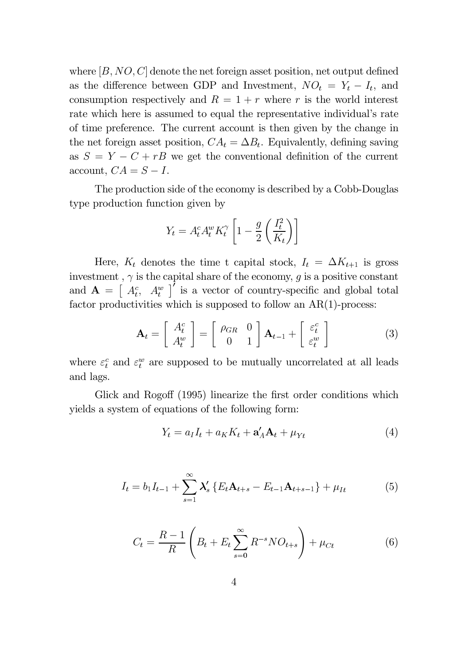where  $[B, NO, C]$  denote the net foreign asset position, net output defined as the difference between GDP and Investment,  $NO_t = Y_t - I_t$ , and consumption respectively and  $R = 1 + r$  where r is the world interest rate which here is assumed to equal the representative individual's rate of time preference. The current account is then given by the change in the net foreign asset position,  $CA_t = \Delta B_t$ . Equivalently, defining saving as  $S = Y - C + rB$  we get the conventional definition of the current account,  $CA = S - I$ .

The production side of the economy is described by a Cobb-Douglas type production function given by

$$
Y_t = A_t^c A_t^w K_t^{\gamma} \left[ 1 - \frac{g}{2} \left( \frac{I_t^2}{K_t} \right) \right]
$$

Here,  $K_t$  denotes the time t capital stock,  $I_t = \Delta K_{t+1}$  is gross investment ,  $\gamma$  is the capital share of the economy,  $g$  is a positive constant and  $\mathbf{A} = \begin{bmatrix} A_t^c & A_t^w \end{bmatrix}'$  is a vector of country-specific and global total factor productivities which is supposed to follow an  $AR(1)$ -process:

$$
\mathbf{A}_{t} = \begin{bmatrix} A_{t}^{c} \\ A_{t}^{w} \end{bmatrix} = \begin{bmatrix} \rho_{GR} & 0 \\ 0 & 1 \end{bmatrix} \mathbf{A}_{t-1} + \begin{bmatrix} \varepsilon_{t}^{c} \\ \varepsilon_{t}^{w} \end{bmatrix}
$$
(3)

where  $\varepsilon_t^c$  and  $\varepsilon_t^w$  are supposed to be mutually uncorrelated at all leads and lags.

Glick and Rogoff (1995) linearize the first order conditions which yields a system of equations of the following form:

$$
Y_t = a_I I_t + a_K K_t + \mathbf{a}'_A \mathbf{A}_t + \mu_{Yt} \tag{4}
$$

$$
I_{t} = b_{1}I_{t-1} + \sum_{s=1}^{\infty} \lambda'_{s} \left\{ E_{t}A_{t+s} - E_{t-1}A_{t+s-1} \right\} + \mu_{It}
$$
(5)

$$
C_t = \frac{R - 1}{R} \left( B_t + E_t \sum_{s=0}^{\infty} R^{-s} N O_{t+s} \right) + \mu_{Ct}
$$
 (6)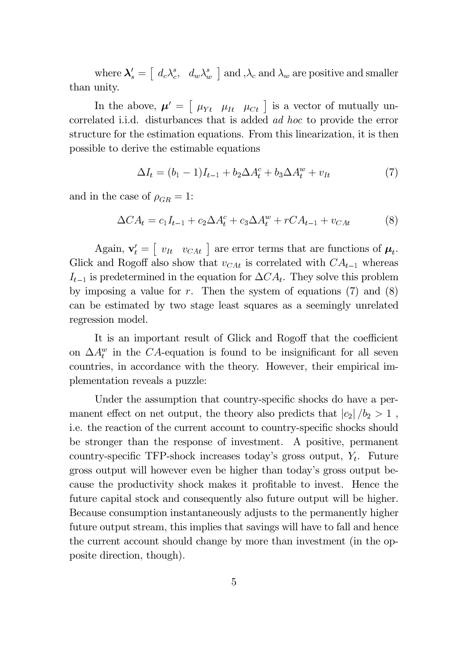where  $\lambda'_s = \begin{bmatrix} d_c \lambda_c^s, d_w \lambda_w^s \end{bmatrix}$  and  $\lambda_c$  and  $\lambda_w$  are positive and smaller than unity.

In the above,  $\mu' = \begin{bmatrix} \mu_{Yt} & \mu_{It} & \mu_{Ct} \end{bmatrix}$  is a vector of mutually uncorrelated i.i.d. disturbances that is added *ad hoc* to provide the error structure for the estimation equations. From this linearization, it is then possible to derive the estimable equations

$$
\Delta I_t = (b_1 - 1)I_{t-1} + b_2 \Delta A_t^c + b_3 \Delta A_t^w + v_{It}
$$
\n(7)

and in the case of  $\rho_{GR} = 1$ :

$$
\Delta CA_t = c_1 I_{t-1} + c_2 \Delta A_t^c + c_3 \Delta A_t^w + rCA_{t-1} + v_{CAt} \tag{8}
$$

Again,  $\mathbf{v}'_t = \begin{bmatrix} v_{It} & v_{CAt} \end{bmatrix}$  are error terms that are functions of  $\mu_t$ . Glick and Rogoff also show that  $v_{CAt}$  is correlated with  $CA_{t-1}$  whereas  $I_{t-1}$  is predetermined in the equation for  $\Delta CA_t$ . They solve this problem by imposing a value for  $r$ . Then the system of equations (7) and (8) can be estimated by two stage least squares as a seemingly unrelated regression model.

It is an important result of Glick and Rogoff that the coefficient on  $\Delta A_t^w$  in the CA-equation is found to be insignificant for all seven countries, in accordance with the theory. However, their empirical implementation reveals a puzzle:

Under the assumption that country-specific shocks do have a permanent effect on net output, the theory also predicts that  $|c_2|/b_2 > 1$ , i.e. the reaction of the current account to country-specific shocks should be stronger than the response of investment. A positive, permanent country-specific TFP-shock increases today's gross output,  $Y_t$ . Future gross output will however even be higher than today's gross output because the productivity shock makes it profitable to invest. Hence the future capital stock and consequently also future output will be higher. Because consumption instantaneously adjusts to the permanently higher future output stream, this implies that savings will have to fall and hence the current account should change by more than investment (in the opposite direction, though).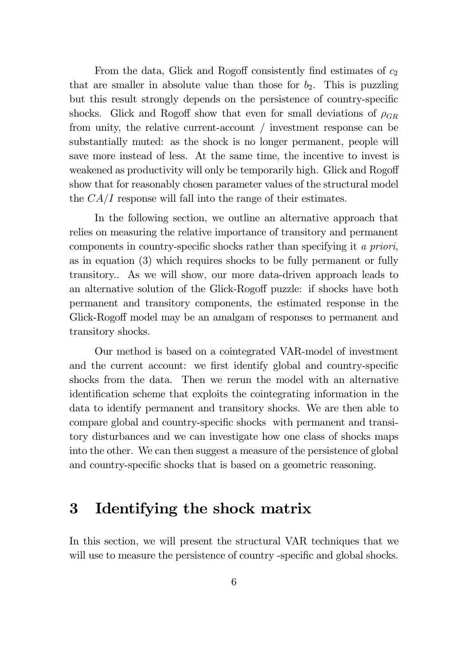From the data, Glick and Rogoff consistently find estimates of  $c_2$ that are smaller in absolute value than those for  $b_2$ . This is puzzling but this result strongly depends on the persistence of country-specific shocks. Glick and Rogoff show that even for small deviations of  $\rho_{GB}$ from unity, the relative current-account / investment response can be substantially muted: as the shock is no longer permanent, people will save more instead of less. At the same time, the incentive to invest is weakened as productivity will only be temporarily high. Glick and Rogoff show that for reasonably chosen parameter values of the structural model the  $CA/I$  response will fall into the range of their estimates.

In the following section, we outline an alternative approach that relies on measuring the relative importance of transitory and permanent components in country-specific shocks rather than specifying it a priori, as in equation  $(3)$  which requires shocks to be fully permanent or fully transitory. As we will show, our more data-driven approach leads to an alternative solution of the Glick-Rogoff puzzle: if shocks have both permanent and transitory components, the estimated response in the Glick-Rogoff model may be an amalgam of responses to permanent and transitory shocks.

Our method is based on a cointegrated VAR-model of investment and the current account: we first identify global and country-specific shocks from the data. Then we rerun the model with an alternative identification scheme that exploits the cointegrating information in the data to identify permanent and transitory shocks. We are then able to compare global and country-specific shocks with permanent and transitory disturbances and we can investigate how one class of shocks maps into the other. We can then suggest a measure of the persistence of global and country-specific shocks that is based on a geometric reasoning.

## 3 Identifying the shock matrix

In this section, we will present the structural VAR techniques that we will use to measure the persistence of country -specific and global shocks.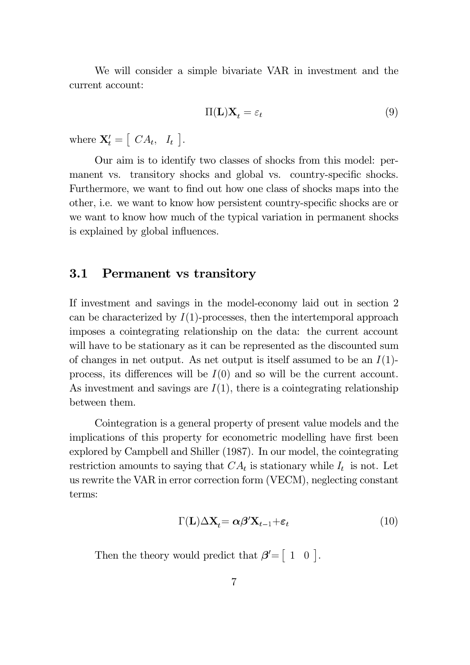We will consider a simple bivariate VAR in investment and the current account:

$$
\Pi(\mathbf{L})\mathbf{X}_t = \varepsilon_t \tag{9}
$$

where  $\mathbf{X}'_t = \begin{bmatrix} CA_t, I_t \end{bmatrix}$ .

Our aim is to identify two classes of shocks from this model: permanent vs. transitory shocks and global vs. country-specific shocks. Furthermore, we want to find out how one class of shocks maps into the other, i.e. we want to know how persistent country-specific shocks are or we want to know how much of the typical variation in permanent shocks is explained by global influences.

### **3.1** Permanent vs transitory

If investment and savings in the model-economy laid out in section 2 can be characterized by  $I(1)$ -processes, then the intertemporal approach imposes a cointegrating relationship on the data: the current account will have to be stationary as it can be represented as the discounted sum of changes in net output. As net output is itself assumed to be an  $I(1)$ process, its differences will be  $I(0)$  and so will be the current account. As investment and savings are  $I(1)$ , there is a cointegrating relationship between them.

Cointegration is a general property of present value models and the implications of this property for econometric modelling have first been explored by Campbell and Shiller  $(1987)$ . In our model, the cointegrating restriction amounts to saying that  $CA_t$  is stationary while  $I_t$  is not. Let us rewrite the VAR in error correction form (VECM), neglecting constant terms:

$$
\Gamma(\mathbf{L})\Delta\mathbf{X}_t = \alpha\beta'\mathbf{X}_{t-1} + \varepsilon_t
$$
\n(10)

Then the theory would predict that  $\beta' = \begin{bmatrix} 1 & 0 \end{bmatrix}$ .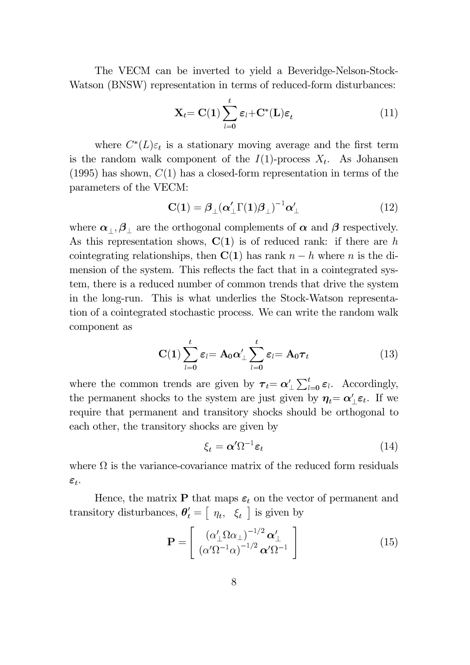The VECM can be inverted to yield a Beveridge-Nelson-Stock-Watson (BNSW) representation in terms of reduced-form disturbances:

$$
\mathbf{X}_{t} = \mathbf{C}(\mathbf{1}) \sum_{l=0}^{t} \varepsilon_{l} + \mathbf{C}^{*}(\mathbf{L}) \varepsilon_{t} \tag{11}
$$

where  $C^*(L)\varepsilon_t$  is a stationary moving average and the first term is the random walk component of the  $I(1)$ -process  $X_t$ . As Johansen  $(1995)$  has shown,  $C(1)$  has a closed-form representation in terms of the parameters of the VECM:

$$
\mathbf{C(1)} = \boldsymbol{\beta}_{\perp} (\boldsymbol{\alpha}'_{\perp} \Gamma(1) \boldsymbol{\beta}_{\perp})^{-1} \boldsymbol{\alpha}'_{\perp} \tag{12}
$$

where  $\alpha_{\perp}, \beta_{\perp}$  are the orthogonal complements of  $\alpha$  and  $\beta$  respectively. As this representation shows,  $C(1)$  is of reduced rank: if there are h cointegrating relationships, then  $C(1)$  has rank  $n-h$  where n is the dimension of the system. This reflects the fact that in a cointegrated system, there is a reduced number of common trends that drive the system in the long-run. This is what underlies the Stock-Watson representation of a cointegrated stochastic process. We can write the random walk component as

$$
\mathbf{C(1)} \sum_{l=0}^{t} \varepsilon_{l} = \mathbf{A}_{0} \alpha'_{\perp} \sum_{l=0}^{t} \varepsilon_{l} = \mathbf{A}_{0} \boldsymbol{\tau}_{t}
$$
(13)

where the common trends are given by  $\tau_t = \alpha'_\perp \sum_{l=0}^t \varepsilon_l$ . Accordingly, the permanent shocks to the system are just given by  $\eta_t = \alpha'_\perp \varepsilon_t$ . If we require that permanent and transitory shocks should be orthogonal to each other, the transitory shocks are given by

$$
\xi_t = \alpha' \Omega^{-1} \varepsilon_t \tag{14}
$$

where  $\Omega$  is the variance-covariance matrix of the reduced form residuals  $\varepsilon_t$ .

Hence, the matrix  $\mathbf P$  that maps  $\boldsymbol \varepsilon_t$  on the vector of permanent and transitory disturbances,  $\theta'_t = \begin{bmatrix} \eta_t, & \xi_t \end{bmatrix}$  is given by

$$
\mathbf{P} = \left[ \begin{array}{c} \left( \alpha'_{\perp} \Omega \alpha_{\perp} \right)^{-1/2} \boldsymbol{\alpha}'_{\perp} \\ \left( \alpha' \Omega^{-1} \alpha \right)^{-1/2} \boldsymbol{\alpha}' \Omega^{-1} \end{array} \right] \tag{15}
$$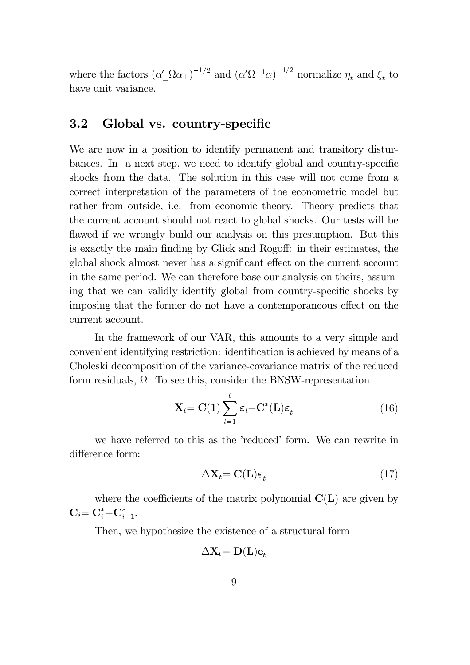where the factors  $(\alpha'_\perp \Omega \alpha_\perp)^{-1/2}$  and  $(\alpha' \Omega^{-1} \alpha)^{-1/2}$  normalize  $\eta_t$  and  $\xi_t$  to have unit variance.

#### $3.2$ Global vs. country-specific

We are now in a position to identify permanent and transitory disturbances. In a next step, we need to identify global and country-specific shocks from the data. The solution in this case will not come from a correct interpretation of the parameters of the econometric model but rather from outside, i.e. from economic theory. Theory predicts that the current account should not react to global shocks. Our tests will be flawed if we wrongly build our analysis on this presumption. But this is exactly the main finding by Glick and Rogoff: in their estimates, the global shock almost never has a significant effect on the current account in the same period. We can therefore base our analysis on theirs, assuming that we can validly identify global from country-specific shocks by imposing that the former do not have a contemporaneous effect on the current account.

In the framework of our VAR, this amounts to a very simple and convenient identifying restriction: identification is achieved by means of a Choleski decomposition of the variance-covariance matrix of the reduced form residuals,  $\Omega$ . To see this, consider the BNSW-representation

$$
\mathbf{X}_{t} = \mathbf{C}(\mathbf{1}) \sum_{l=1}^{t} \varepsilon_{l} + \mathbf{C}^{*}(\mathbf{L}) \varepsilon_{t}
$$
 (16)

we have referred to this as the 'reduced' form. We can rewrite in difference form:

$$
\Delta \mathbf{X}_t = \mathbf{C}(\mathbf{L}) \boldsymbol{\varepsilon}_t \tag{17}
$$

where the coefficients of the matrix polynomial  $C(L)$  are given by  $C_i = C_i^* - C_{i-1}^*$ .

Then, we hypothesize the existence of a structural form

$$
\Delta \mathbf{X}_t\mathbf{=D(L)e}_{t}
$$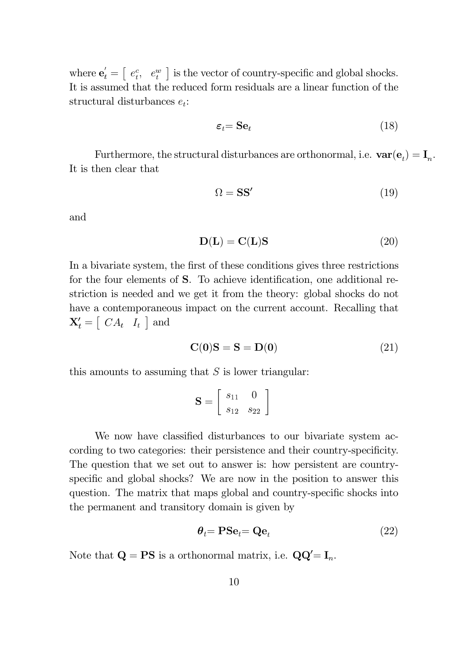where  $\mathbf{e}'_t = \begin{bmatrix} e^c_t, & e^w_t \end{bmatrix}$  is the vector of country-specific and global shocks. It is assumed that the reduced form residuals are a linear function of the structural disturbances  $e_t$ :

$$
\varepsilon_t = \mathbf{S} \mathbf{e}_t \tag{18}
$$

Furthermore, the structural disturbances are orthonormal, i.e.<br>  $\textbf{var}(\mathbf{e}_t) = \mathbf{I}_n.$ It is then clear that

$$
\Omega = \mathbf{S}\mathbf{S}'\tag{19}
$$

and

$$
D(L) = C(L)S \tag{20}
$$

In a bivariate system, the first of these conditions gives three restrictions for the four elements of S. To achieve identification, one additional restriction is needed and we get it from the theory: global shocks do not have a contemporaneous impact on the current account. Recalling that  $\mathbf{X}'_t = [CA_t \mid I_t]$  and

$$
\mathbf{C}(\mathbf{0})\mathbf{S} = \mathbf{S} = \mathbf{D}(\mathbf{0})\tag{21}
$$

this amounts to assuming that  $S$  is lower triangular:

$$
\mathbf{S} = \left[ \begin{array}{cc} s_{11} & 0 \\ s_{12} & s_{22} \end{array} \right]
$$

We now have classified disturbances to our bivariate system according to two categories: their persistence and their country-specificity. The question that we set out to answer is: how persistent are countryspecific and global shocks? We are now in the position to answer this question. The matrix that maps global and country-specific shocks into the permanent and transitory domain is given by

$$
\boldsymbol{\theta}_t = \mathbf{P} \mathbf{S} \mathbf{e}_t = \mathbf{Q} \mathbf{e}_t \tag{22}
$$

Note that  $\mathbf{Q} = \mathbf{PS}$  is a orthonormal matrix, i.e.  $\mathbf{QQ}' = \mathbf{I}_n$ .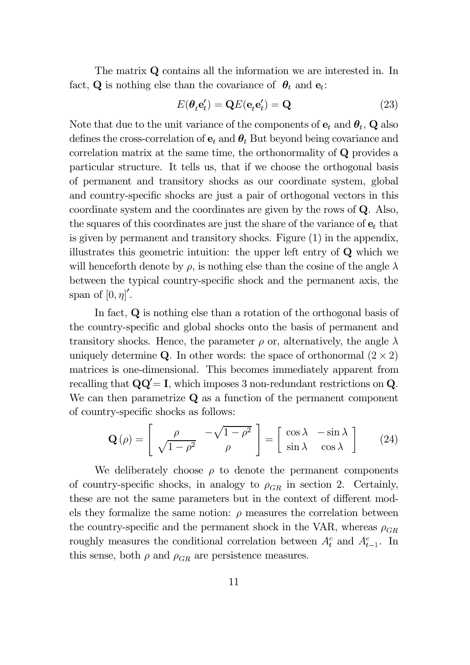The matrix  $\mathbf Q$  contains all the information we are interested in. In fact, **Q** is nothing else than the covariance of  $\theta_t$  and  $\mathbf{e}_t$ :

$$
E(\theta_t \mathbf{e}'_t) = \mathbf{Q}E(\mathbf{e}_t \mathbf{e}'_t) = \mathbf{Q}
$$
 (23)

Note that due to the unit variance of the components of  $e_t$  and  $\theta_t$ , Q also defines the cross-correlation of  $e_t$  and  $\theta_t$  But beyond being covariance and correlation matrix at the same time, the orthonormality of  $Q$  provides a particular structure. It tells us, that if we choose the orthogonal basis of permanent and transitory shocks as our coordinate system, global and country-specific shocks are just a pair of orthogonal vectors in this coordinate system and the coordinates are given by the rows of  $Q$ . Also, the squares of this coordinates are just the share of the variance of  $e_t$  that is given by permanent and transitory shocks. Figure  $(1)$  in the appendix, illustrates this geometric intuition: the upper left entry of  $Q$  which we will henceforth denote by  $\rho$ , is nothing else than the cosine of the angle  $\lambda$ between the typical country-specific shock and the permanent axis, the span of  $[0, \eta]'$ .

In fact,  $Q$  is nothing else than a rotation of the orthogonal basis of the country-specific and global shocks onto the basis of permanent and transitory shocks. Hence, the parameter  $\rho$  or, alternatively, the angle  $\lambda$ uniquely determine Q. In other words: the space of orthonormal  $(2 \times 2)$ matrices is one-dimensional. This becomes immediately apparent from recalling that  $\mathbf{Q}\mathbf{Q}' = \mathbf{I}$ , which imposes 3 non-redundant restrictions on  $\mathbf{Q}$ . We can then parametrize  $Q$  as a function of the permanent component of country-specific shocks as follows:

$$
\mathbf{Q}(\rho) = \begin{bmatrix} \rho & -\sqrt{1-\rho^2} \\ \sqrt{1-\rho^2} & \rho \end{bmatrix} = \begin{bmatrix} \cos \lambda & -\sin \lambda \\ \sin \lambda & \cos \lambda \end{bmatrix}
$$
 (24)

We deliberately choose  $\rho$  to denote the permanent components of country-specific shocks, in analogy to  $\rho_{GR}$  in section 2. Certainly, these are not the same parameters but in the context of different models they formalize the same notion:  $\rho$  measures the correlation between the country-specific and the permanent shock in the VAR, whereas  $\rho_{GR}$ roughly measures the conditional correlation between  $A_t^c$  and  $A_{t-1}^c$ . In this sense, both  $\rho$  and  $\rho_{GR}$  are persistence measures.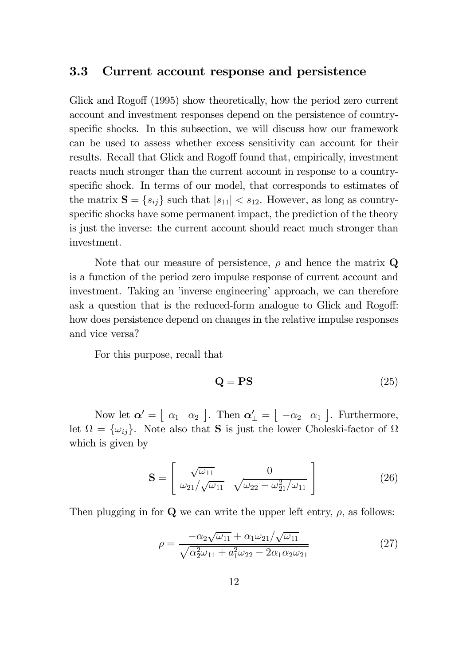#### Current account response and persistence  $3.3$

Glick and Rogoff (1995) show theoretically, how the period zero current account and investment responses depend on the persistence of countryspecific shocks. In this subsection, we will discuss how our framework can be used to assess whether excess sensitivity can account for their results. Recall that Glick and Rogoff found that, empirically, investment reacts much stronger than the current account in response to a countryspecific shock. In terms of our model, that corresponds to estimates of the matrix  $S = \{s_{ij}\}\$  such that  $|s_{11}| < s_{12}$ . However, as long as countryspecific shocks have some permanent impact, the prediction of the theory is just the inverse: the current account should react much stronger than investment.

Note that our measure of persistence,  $\rho$  and hence the matrix Q is a function of the period zero impulse response of current account and investment. Taking an 'inverse engineering' approach, we can therefore ask a question that is the reduced-form analogue to Glick and Rogoff: how does persistence depend on changes in the relative impulse responses and vice versa?

For this purpose, recall that

$$
\mathbf{Q} = \mathbf{PS} \tag{25}
$$

Now let  $\boldsymbol{\alpha}' = \begin{bmatrix} \alpha_1 & \alpha_2 \end{bmatrix}$ . Then  $\boldsymbol{\alpha}'_{\perp} = \begin{bmatrix} -\alpha_2 & \alpha_1 \end{bmatrix}$ . Furthermore, let  $\Omega = {\omega_{ij}}$ . Note also that **S** is just the lower Choleski-factor of  $\Omega$ which is given by

$$
\mathbf{S} = \begin{bmatrix} \sqrt{\omega_{11}} & 0\\ \omega_{21}/\sqrt{\omega_{11}} & \sqrt{\omega_{22} - \omega_{21}^2/\omega_{11}} \end{bmatrix}
$$
 (26)

Then plugging in for  $Q$  we can write the upper left entry,  $\rho$ , as follows:

$$
\rho = \frac{-\alpha_2 \sqrt{\omega_{11}} + \alpha_1 \omega_{21} / \sqrt{\omega_{11}}}{\sqrt{\alpha_2^2 \omega_{11} + \alpha_1^2 \omega_{22} - 2\alpha_1 \alpha_2 \omega_{21}}} \tag{27}
$$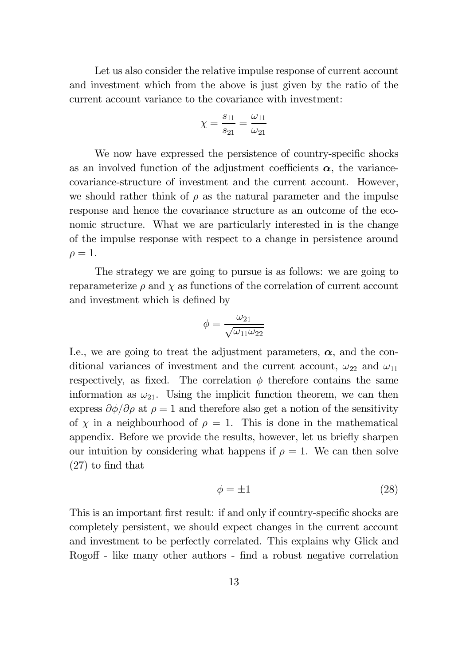Let us also consider the relative impulse response of current account and investment which from the above is just given by the ratio of the current account variance to the covariance with investment:

$$
\chi = \frac{s_{11}}{s_{21}} = \frac{\omega_{11}}{\omega_{21}}
$$

We now have expressed the persistence of country-specific shocks as an involved function of the adjustment coefficients  $\alpha$ , the variancecovariance-structure of investment and the current account. However, we should rather think of  $\rho$  as the natural parameter and the impulse response and hence the covariance structure as an outcome of the economic structure. What we are particularly interested in is the change of the impulse response with respect to a change in persistence around  $\rho=1.$ 

The strategy we are going to pursue is as follows: we are going to reparameterize  $\rho$  and  $\chi$  as functions of the correlation of current account and investment which is defined by

$$
\phi=\frac{\omega_{21}}{\sqrt{\omega_{11}\omega_{22}}}
$$

I.e., we are going to treat the adjustment parameters,  $\alpha$ , and the conditional variances of investment and the current account,  $\omega_{22}$  and  $\omega_{11}$ respectively, as fixed. The correlation  $\phi$  therefore contains the same information as  $\omega_{21}$ . Using the implicit function theorem, we can then express  $\partial \phi / \partial \rho$  at  $\rho = 1$  and therefore also get a notion of the sensitivity of  $\chi$  in a neighbourhood of  $\rho = 1$ . This is done in the mathematical appendix. Before we provide the results, however, let us briefly sharpen our intuition by considering what happens if  $\rho = 1$ . We can then solve  $(27)$  to find that

$$
\phi = \pm 1\tag{28}
$$

This is an important first result: if and only if country-specific shocks are completely persistent, we should expect changes in the current account and investment to be perfectly correlated. This explains why Glick and Rogoff - like many other authors - find a robust negative correlation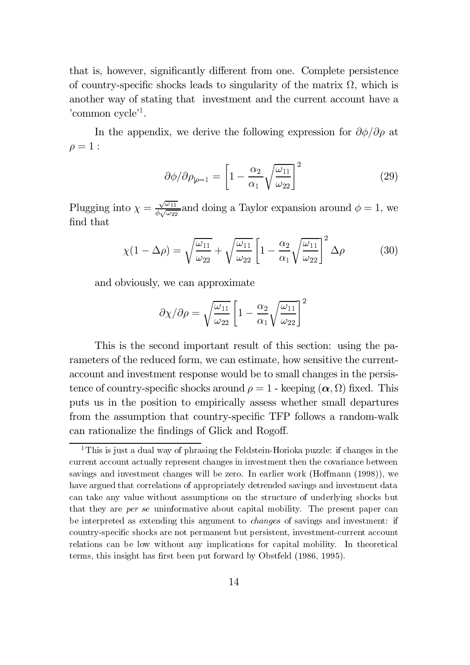that is, however, significantly different from one. Complete persistence of country-specific shocks leads to singularity of the matrix  $\Omega$ , which is another way of stating that investment and the current account have a 'common  $cycle<sup>1</sup>$ .

In the appendix, we derive the following expression for  $\partial \phi / \partial \rho$  at  $\rho=1$ :

$$
\partial \phi / \partial \rho_{|\rho=1} = \left[ 1 - \frac{\alpha_2}{\alpha_1} \sqrt{\frac{\omega_{11}}{\omega_{22}}} \right]^2 \tag{29}
$$

Plugging into  $\chi = \frac{\sqrt{\omega_{11}}}{\phi \sqrt{\omega_{22}}}$  and doing a Taylor expansion around  $\phi = 1$ , we find that

$$
\chi(1 - \Delta \rho) = \sqrt{\frac{\omega_{11}}{\omega_{22}}} + \sqrt{\frac{\omega_{11}}{\omega_{22}}} \left[ 1 - \frac{\alpha_2}{\alpha_1} \sqrt{\frac{\omega_{11}}{\omega_{22}}} \right]^2 \Delta \rho \tag{30}
$$

and obviously, we can approximate

$$
\partial \chi / \partial \rho = \sqrt{\frac{\omega_{11}}{\omega_{22}}} \left[ 1 - \frac{\alpha_2}{\alpha_1} \sqrt{\frac{\omega_{11}}{\omega_{22}}} \right]^2
$$

This is the second important result of this section: using the parameters of the reduced form, we can estimate, how sensitive the currentaccount and investment response would be to small changes in the persistence of country-specific shocks around  $\rho = 1$  - keeping  $(\alpha, \Omega)$  fixed. This puts us in the position to empirically assess whether small departures from the assumption that country-specific TFP follows a random-walk can rationalize the findings of Glick and Rogoff.

<sup>&</sup>lt;sup>1</sup>This is just a dual way of phrasing the Feldstein-Horioka puzzle: if changes in the current account actually represent changes in investment then the covariance between savings and investment changes will be zero. In earlier work (Hoffmann (1998)), we have argued that correlations of appropriately detrended savings and investment data can take any value without assumptions on the structure of underlying shocks but that they are *per se* uninformative about capital mobility. The present paper can be interpreted as extending this argument to *changes* of savings and investment: if country-specific shocks are not permanent but persistent, investment-current account relations can be low without any implications for capital mobility. In theoretical terms, this insight has first been put forward by Obstfeld (1986, 1995).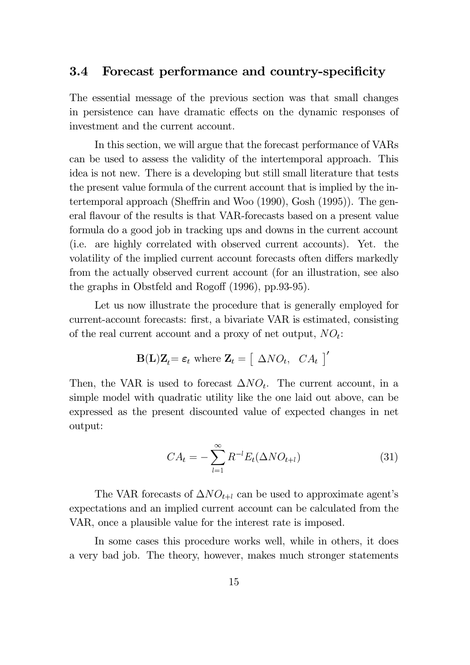#### 3.4 Forecast performance and country-specificity

The essential message of the previous section was that small changes in persistence can have dramatic effects on the dynamic responses of investment and the current account.

In this section, we will argue that the forecast performance of VARs can be used to assess the validity of the intertemporal approach. This idea is not new. There is a developing but still small literature that tests the present value formula of the current account that is implied by the intertemporal approach (Sheffrin and Woo  $(1990)$ , Gosh  $(1995)$ ). The general flavour of the results is that VAR-forecasts based on a present value formula do a good job in tracking ups and downs in the current account (i.e. are highly correlated with observed current accounts). Yet. the volatility of the implied current account forecasts often differs markedly from the actually observed current account (for an illustration, see also the graphs in Obstfeld and Rogoff  $(1996)$ , pp.93-95).

Let us now illustrate the procedure that is generally employed for current-account forecasts: first, a bivariate VAR is estimated, consisting of the real current account and a proxy of net output,  $NO_t$ :

$$
\mathbf{B}(\mathbf{L})\mathbf{Z}_t = \boldsymbol{\varepsilon}_t \text{ where } \mathbf{Z}_t = \begin{bmatrix} \Delta N O_t, & C A_t \end{bmatrix}^\prime
$$

Then, the VAR is used to forecast  $\Delta NO_t$ . The current account, in a simple model with quadratic utility like the one laid out above, can be expressed as the present discounted value of expected changes in net output:

$$
CA_t = -\sum_{l=1}^{\infty} R^{-l} E_t(\Delta NO_{t+l})
$$
\n(31)

The VAR forecasts of  $\Delta NO_{t+l}$  can be used to approximate agent's expectations and an implied current account can be calculated from the VAR, once a plausible value for the interest rate is imposed.

In some cases this procedure works well, while in others, it does a very bad job. The theory, however, makes much stronger statements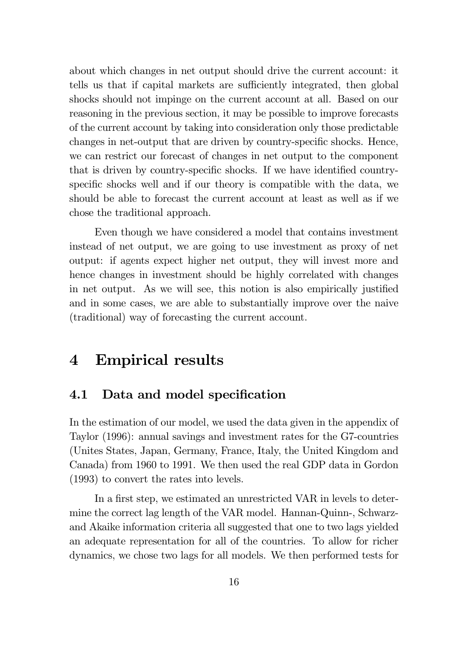about which changes in net output should drive the current account: it tells us that if capital markets are sufficiently integrated, then global shocks should not impinge on the current account at all. Based on our reasoning in the previous section, it may be possible to improve forecasts of the current account by taking into consideration only those predictable changes in net-output that are driven by country-specific shocks. Hence, we can restrict our forecast of changes in net output to the component that is driven by country-specific shocks. If we have identified countryspecific shocks well and if our theory is compatible with the data, we should be able to forecast the current account at least as well as if we chose the traditional approach.

Even though we have considered a model that contains investment instead of net output, we are going to use investment as proxy of net output: if agents expect higher net output, they will invest more and hence changes in investment should be highly correlated with changes in net output. As we will see, this notion is also empirically justified and in some cases, we are able to substantially improve over the naive (traditional) way of forecasting the current account.

#### **Empirical results**  $\boldsymbol{4}$

#### $4.1$ Data and model specification

In the estimation of our model, we used the data given in the appendix of Taylor (1996): annual savings and investment rates for the G7-countries (Unites States, Japan, Germany, France, Italy, the United Kingdom and Canada) from 1960 to 1991. We then used the real GDP data in Gordon  $(1993)$  to convert the rates into levels.

In a first step, we estimated an unrestricted VAR in levels to determine the correct lag length of the VAR model. Hannan-Quinn-, Schwarzand Akaike information criteria all suggested that one to two lags yielded an adequate representation for all of the countries. To allow for richer dynamics, we chose two lags for all models. We then performed tests for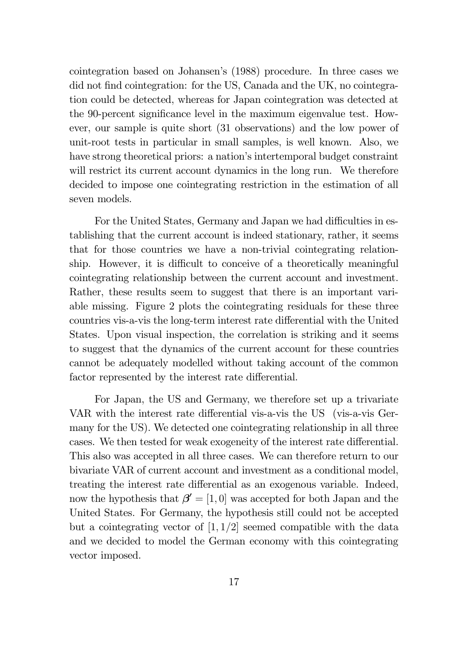cointegration based on Johansen's (1988) procedure. In three cases we did not find cointegration: for the US, Canada and the UK, no cointegration could be detected, whereas for Japan cointegration was detected at the 90-percent significance level in the maximum eigenvalue test. However, our sample is quite short (31 observations) and the low power of unit-root tests in particular in small samples, is well known. Also, we have strong theoretical priors: a nation's intertemporal budget constraint will restrict its current account dynamics in the long run. We therefore decided to impose one cointegrating restriction in the estimation of all seven models.

For the United States, Germany and Japan we had difficulties in establishing that the current account is indeed stationary, rather, it seems that for those countries we have a non-trivial cointegrating relationship. However, it is difficult to conceive of a theoretically meaningful cointegrating relationship between the current account and investment. Rather, these results seem to suggest that there is an important variable missing. Figure 2 plots the cointegrating residuals for these three countries vis-a-vis the long-term interest rate differential with the United States. Upon visual inspection, the correlation is striking and it seems to suggest that the dynamics of the current account for these countries cannot be adequately modelled without taking account of the common factor represented by the interest rate differential.

For Japan, the US and Germany, we therefore set up a trivariate VAR with the interest rate differential vis-a-vis the US (vis-a-vis Germany for the US). We detected one cointegrating relationship in all three cases. We then tested for weak exogeneity of the interest rate differential. This also was accepted in all three cases. We can therefore return to our bivariate VAR of current account and investment as a conditional model, treating the interest rate differential as an exogenous variable. Indeed, now the hypothesis that  $\beta' = [1, 0]$  was accepted for both Japan and the United States. For Germany, the hypothesis still could not be accepted but a cointegrating vector of  $[1,1/2]$  seemed compatible with the data and we decided to model the German economy with this cointegrating vector imposed.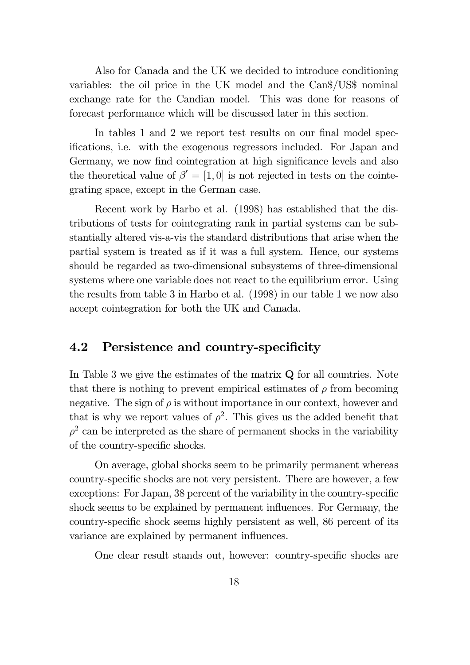Also for Canada and the UK we decided to introduce conditioning variables: the oil price in the UK model and the Can\$/US\$ nominal exchange rate for the Candian model. This was done for reasons of forecast performance which will be discussed later in this section.

In tables 1 and 2 we report test results on our final model specifications, i.e. with the exogenous regressors included. For Japan and Germany, we now find cointegration at high significance levels and also the theoretical value of  $\beta' = [1, 0]$  is not rejected in tests on the cointegrating space, except in the German case.

Recent work by Harbo et al. (1998) has established that the distributions of tests for cointegrating rank in partial systems can be substantially altered vis-a-vis the standard distributions that arise when the partial system is treated as if it was a full system. Hence, our systems should be regarded as two-dimensional subsystems of three-dimensional systems where one variable does not react to the equilibrium error. Using the results from table 3 in Harbo et al. (1998) in our table 1 we now also accept cointegration for both the UK and Canada.

#### Persistence and country-specificity 4.2

In Table 3 we give the estimates of the matrix  $Q$  for all countries. Note that there is nothing to prevent empirical estimates of  $\rho$  from becoming negative. The sign of  $\rho$  is without importance in our context, however and that is why we report values of  $\rho^2$ . This gives us the added benefit that  $\rho^2$  can be interpreted as the share of permanent shocks in the variability of the country-specific shocks.

On average, global shocks seem to be primarily permanent whereas country-specific shocks are not very persistent. There are however, a few exceptions: For Japan, 38 percent of the variability in the country-specific shock seems to be explained by permanent influences. For Germany, the country-specific shock seems highly persistent as well, 86 percent of its variance are explained by permanent influences.

One clear result stands out, however: country-specific shocks are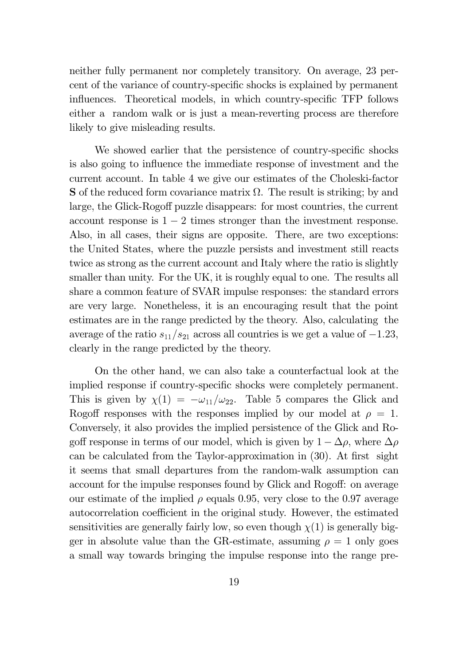neither fully permanent nor completely transitory. On average, 23 perfor cent of the variance of country-specific shocks is explained by permanent influences. Theoretical models, in which country-specific TFP follows either a random walk or is just a mean-reverting process are therefore likely to give misleading results.

We showed earlier that the persistence of country-specific shocks is also going to influence the immediate response of investment and the current account. In table 4 we give our estimates of the Choleski-factor **S** of the reduced form covariance matrix  $\Omega$ . The result is striking; by and large, the Glick-Rogoff puzzle disappears: for most countries, the current account response is  $1-2$  times stronger than the investment response. Also, in all cases, their signs are opposite. There, are two exceptions: the United States, where the puzzle persists and investment still reacts twice as strong as the current account and Italy where the ratio is slightly smaller than unity. For the UK, it is roughly equal to one. The results all share a common feature of SVAR impulse responses: the standard errors are very large. Nonetheless, it is an encouraging result that the point estimates are in the range predicted by the theory. Also, calculating the average of the ratio  $s_{11}/s_{21}$  across all countries is we get a value of  $-1.23$ , clearly in the range predicted by the theory.

On the other hand, we can also take a counterfactual look at the implied response if country-specific shocks were completely permanent. This is given by  $\chi(1) = -\omega_{11}/\omega_{22}$ . Table 5 compares the Glick and Rogoff responses with the responses implied by our model at  $\rho = 1$ . Conversely, it also provides the implied persistence of the Glick and Rogoff response in terms of our model, which is given by  $1 - \Delta \rho$ , where  $\Delta \rho$ can be calculated from the Taylor-approximation in  $(30)$ . At first sight it seems that small departures from the random-walk assumption can account for the impulse responses found by Glick and Rogoff: on average our estimate of the implied  $\rho$  equals 0.95, very close to the 0.97 average autocorrelation coefficient in the original study. However, the estimated sensitivities are generally fairly low, so even though  $\chi(1)$  is generally bigger in absolute value than the GR-estimate, assuming  $\rho = 1$  only goes a small way towards bringing the impulse response into the range pre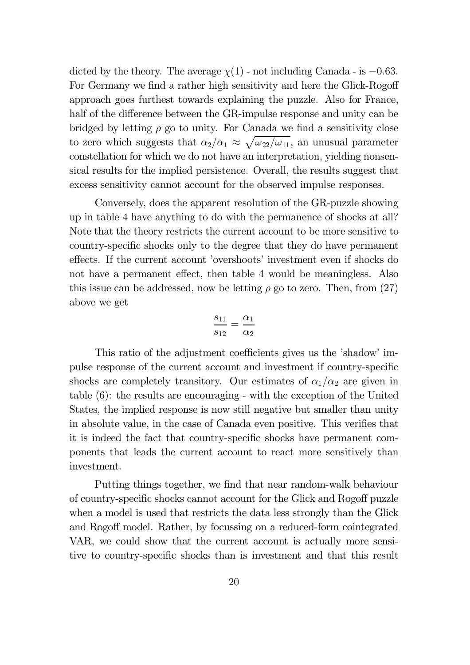dicted by the theory. The average  $\chi(1)$  - not including Canada - is -0.63. For Germany we find a rather high sensitivity and here the Glick-Rogoff approach goes furthest towards explaining the puzzle. Also for France, half of the difference between the GR-impulse response and unity can be bridged by letting  $\rho$  go to unity. For Canada we find a sensitivity close to zero which suggests that  $\alpha_2/\alpha_1 \approx \sqrt{\omega_{22}/\omega_{11}}$ , an unusual parameter constellation for which we do not have an interpretation, yielding nonsensical results for the implied persistence. Overall, the results suggest that excess sensitivity cannot account for the observed impulse responses.

Conversely, does the apparent resolution of the GR-puzzle showing up in table 4 have anything to do with the permanence of shocks at all? Note that the theory restricts the current account to be more sensitive to country-specific shocks only to the degree that they do have permanent effects. If the current account 'overshoots' investment even if shocks do not have a permanent effect, then table 4 would be meaningless. Also this issue can be addressed, now be letting  $\rho$  go to zero. Then, from (27) above we get

$$
\frac{s_{11}}{s_{12}} = \frac{\alpha_1}{\alpha_2}
$$

This ratio of the adjustment coefficients gives us the 'shadow' impulse response of the current account and investment if country-specific shocks are completely transitory. Our estimates of  $\alpha_1/\alpha_2$  are given in table  $(6)$ : the results are encouraging - with the exception of the United States, the implied response is now still negative but smaller than unity in absolute value, in the case of Canada even positive. This verifies that it is indeed the fact that country-specific shocks have permanent components that leads the current account to react more sensitively than investment.

Putting things together, we find that near random-walk behaviour of country-specific shocks cannot account for the Glick and Rogoff puzzle when a model is used that restricts the data less strongly than the Glick and Rogoff model. Rather, by focussing on a reduced-form cointegrated VAR, we could show that the current account is actually more sensitive to country-specific shocks than is investment and that this result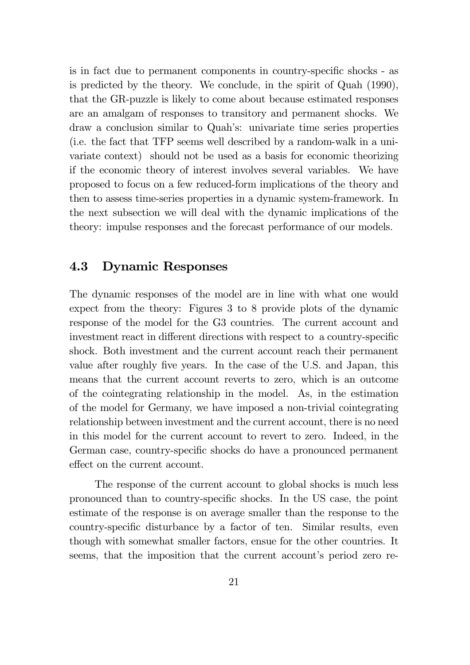is in fact due to permanent components in country-specific shocks - as is predicted by the theory. We conclude, in the spirit of Quah (1990), that the GR-puzzle is likely to come about because estimated responses are an amalgam of responses to transitory and permanent shocks. We draw a conclusion similar to Quah's: univariate time series properties (i.e. the fact that TFP seems well described by a random-walk in a univariate context) should not be used as a basis for economic theorizing if the economic theory of interest involves several variables. We have proposed to focus on a few reduced-form implications of the theory and then to assess time-series properties in a dynamic system-framework. In the next subsection we will deal with the dynamic implications of the theory: impulse responses and the forecast performance of our models.

#### 4.3 **Dynamic Responses**

The dynamic responses of the model are in line with what one would expect from the theory: Figures 3 to 8 provide plots of the dynamic response of the model for the G3 countries. The current account and investment react in different directions with respect to a country-specific shock. Both investment and the current account reach their permanent value after roughly five years. In the case of the U.S. and Japan, this means that the current account reverts to zero, which is an outcome of the cointegrating relationship in the model. As, in the estimation of the model for Germany, we have imposed a non-trivial cointegrating relationship between investment and the current account, there is no need in this model for the current account to revert to zero. Indeed, in the German case, country-specific shocks do have a pronounced permanent effect on the current account.

The response of the current account to global shocks is much less pronounced than to country-specific shocks. In the US case, the point estimate of the response is on average smaller than the response to the country-specific disturbance by a factor of ten. Similar results, even though with somewhat smaller factors, ensue for the other countries. It seems, that the imposition that the current account's period zero re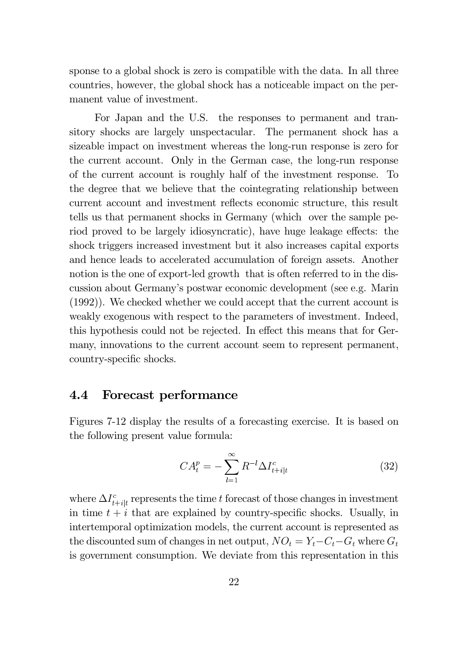sponse to a global shock is zero is compatible with the data. In all three countries, however, the global shock has a noticeable impact on the permanent value of investment.

For Japan and the U.S. the responses to permanent and transitory shocks are largely unspectacular. The permanent shock has a sizeable impact on investment whereas the long-run response is zero for the current account. Only in the German case, the long-run response of the current account is roughly half of the investment response. To the degree that we believe that the cointegrating relationship between current account and investment reflects economic structure, this result tells us that permanent shocks in Germany (which over the sample period proved to be largely idiosyncratic), have huge leakage effects: the shock triggers increased investment but it also increases capital exports and hence leads to accelerated accumulation of foreign assets. Another notion is the one of export-led growth that is often referred to in the discussion about Germany's postwar economic development (see e.g. Marin  $(1992)$ ). We checked whether we could accept that the current account is weakly exogenous with respect to the parameters of investment. Indeed, this hypothesis could not be rejected. In effect this means that for Germany, innovations to the current account seem to represent permanent, country-specific shocks.

#### $4.4$ Forecast performance

Figures 7-12 display the results of a forecasting exercise. It is based on the following present value formula:

$$
CA_t^p = -\sum_{l=1}^{\infty} R^{-l} \Delta I_{t+i|t}^c
$$
 (32)

where  $\Delta I_{t+ik}^c$  represents the time t forecast of those changes in investment in time  $t + i$  that are explained by country-specific shocks. Usually, in intertemporal optimization models, the current account is represented as the discounted sum of changes in net output,  $NO_t = Y_t - C_t - G_t$  where  $G_t$ is government consumption. We deviate from this representation in this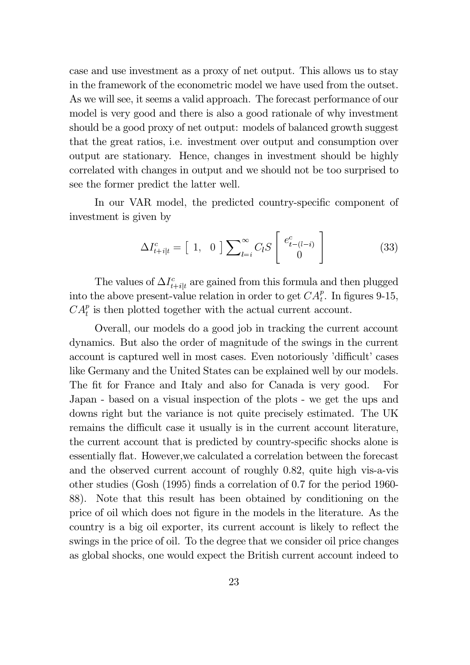case and use investment as a proxy of net output. This allows us to stay in the framework of the econometric model we have used from the outset. As we will see, it seems a valid approach. The forecast performance of our model is very good and there is also a good rationale of why investment should be a good proxy of net output: models of balanced growth suggest that the great ratios, i.e. investment over output and consumption over output are stationary. Hence, changes in investment should be highly correlated with changes in output and we should not be too surprised to see the former predict the latter well.

In our VAR model, the predicted country-specific component of investment is given by

$$
\Delta I_{t+i|t}^c = \begin{bmatrix} 1, & 0 \end{bmatrix} \sum_{l=i}^{\infty} C_l S \begin{bmatrix} e_{t-(l-i)}^c \\ 0 \end{bmatrix}
$$
 (33)

The values of  $\Delta I_{t+i|t}^c$  are gained from this formula and then plugged into the above present-value relation in order to get  $CA_t^p$ . In figures 9-15,  $CA_t^p$  is then plotted together with the actual current account.

Overall, our models do a good job in tracking the current account dynamics. But also the order of magnitude of the swings in the current account is captured well in most cases. Even notoriously 'difficult' cases like Germany and the United States can be explained well by our models. The fit for France and Italy and also for Canada is very good. For Japan - based on a visual inspection of the plots - we get the ups and downs right but the variance is not quite precisely estimated. The UK remains the difficult case it usually is in the current account literature, the current account that is predicted by country-specific shocks alone is essentially flat. However, we calculated a correlation between the forecast and the observed current account of roughly 0.82, quite high vis-a-vis other studies (Gosh  $(1995)$  finds a correlation of 0.7 for the period 1960-88). Note that this result has been obtained by conditioning on the price of oil which does not figure in the models in the literature. As the country is a big oil exporter, its current account is likely to reflect the swings in the price of oil. To the degree that we consider oil price changes as global shocks, one would expect the British current account indeed to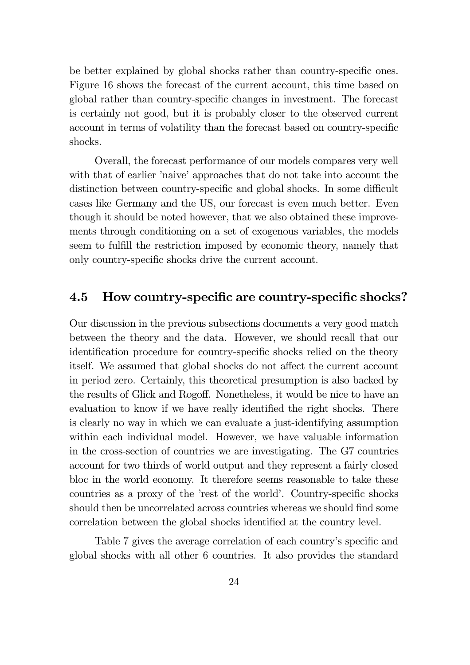be better explained by global shocks rather than country-specific ones. Figure 16 shows the forecast of the current account, this time based on global rather than country-specific changes in investment. The forecast is certainly not good, but it is probably closer to the observed current account in terms of volatility than the forecast based on country-specific shocks.

Overall, the forecast performance of our models compares very well with that of earlier 'naive' approaches that do not take into account the distinction between country-specific and global shocks. In some difficult cases like Germany and the US, our forecast is even much better. Even though it should be noted however, that we also obtained these improvements through conditioning on a set of exogenous variables, the models seem to fulfill the restriction imposed by economic theory, namely that only country-specific shocks drive the current account.

### 4.5 How country-specific are country-specific shocks?

Our discussion in the previous subsections documents a very good match between the theory and the data. However, we should recall that our identification procedure for country-specific shocks relied on the theory itself. We assumed that global shocks do not affect the current account in period zero. Certainly, this theoretical presumption is also backed by the results of Glick and Rogoff. Nonetheless, it would be nice to have an evaluation to know if we have really identified the right shocks. There is clearly no way in which we can evaluate a just-identifying assumption within each individual model. However, we have valuable information in the cross-section of countries we are investigating. The G7 countries account for two thirds of world output and they represent a fairly closed bloc in the world economy. It therefore seems reasonable to take these countries as a proxy of the 'rest of the world'. Country-specific shocks should then be uncorrelated across countries whereas we should find some fruudormlarge correlation between the global shocks identified at the country level.

Table 7 gives the average correlation of each country's specific and global shocks with all other 6 countries. It also provides the standard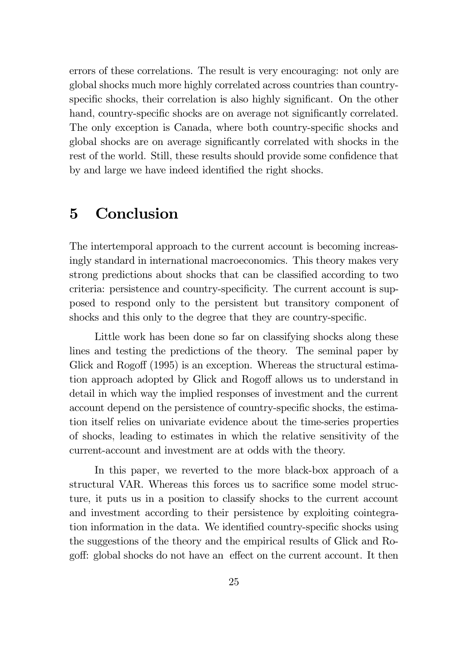errors of these correlations. The result is very encouraging: not only are global shocks much more highly correlated across countries than countryspecific shocks, their correlation is also highly significant. On the other hand, country-specific shocks are on average not significantly correlated. The only exception is Canada, where both country-specific shocks and global shocks are on average significantly correlated with shocks in the rest of the world. Still, these results should provide some confidence that by and large we have indeed identified the right shocks.

### 5 Conclusion

The intertemporal approach to the current account is becoming increasingly standard in international macroeconomics. This theory makes very strong predictions about shocks that can be classified according to two criteria: persistence and country-specificity. The current account is supposed to respond only to the persistent but transitory component of shocks and this only to the degree that they are country-specific.

Little work has been done so far on classifying shocks along these lines and testing the predictions of the theory. The seminal paper by Glick and Rogoff  $(1995)$  is an exception. Whereas the structural estimation approach adopted by Glick and Rogoff allows us to understand in detail in which way the implied responses of investment and the current account depend on the persistence of country-specific shocks, the estimation itself relies on univariate evidence about the time-series properties of shocks, leading to estimates in which the relative sensitivity of the current-account and investment are at odds with the theory.

In this paper, we reverted to the more black-box approach of a structural VAR. Whereas this forces us to sacrifice some model structure, it puts us in a position to classify shocks to the current account and investment according to their persistence by exploiting cointegration information in the data. We identified country-specific shocks using the suggestions of the theory and the empirical results of Glick and Rogoff: global shocks do not have an effect on the current account. It then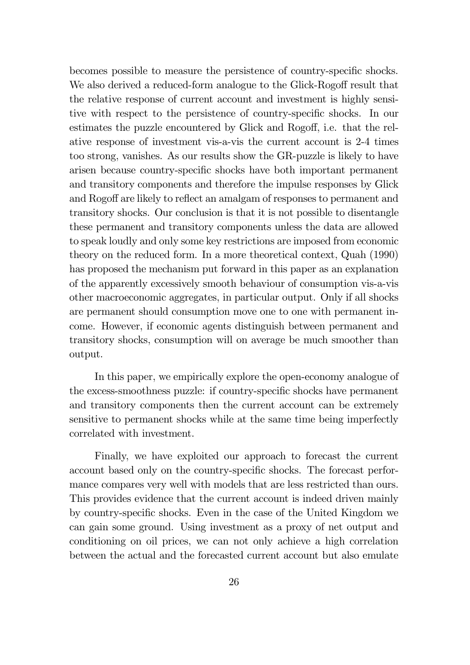becomes possible to measure the persistence of country-specific shocks. We also derived a reduced-form analogue to the Glick-Rogoff result that the relative response of current account and investment is highly sensitive with respect to the persistence of country-specific shocks. In our estimates the puzzle encountered by Glick and Rogoff, i.e. that the relative response of investment vis-a-vis the current account is 2-4 times too strong, vanishes. As our results show the GR-puzzle is likely to have arisen because country-specific shocks have both important permanent and transitory components and therefore the impulse responses by Glick and Rogoff are likely to reflect an amalgam of responses to permanent and transitory shocks. Our conclusion is that it is not possible to disentangle these permanent and transitory components unless the data are allowed to speak loudly and only some key restrictions are imposed from economic theory on the reduced form. In a more theoretical context, Quah  $(1990)$ has proposed the mechanism put forward in this paper as an explanation of the apparently excessively smooth behaviour of consumption vis-a-vis other macroeconomic aggregates, in particular output. Only if all shocks are permanent should consumption move one to one with permanent income. However, if economic agents distinguish between permanent and transitory shocks, consumption will on average be much smoother than output.

In this paper, we empirically explore the open-economy analogue of the excess-smoothness puzzle: if country-specific shocks have permanent and transitory components then the current account can be extremely sensitive to permanent shocks while at the same time being imperfectly correlated with investment.

Finally, we have exploited our approach to forecast the current account based only on the country-specific shocks. The forecast performance compares very well with models that are less restricted than ours. This provides evidence that the current account is indeed driven mainly by country-specific shocks. Even in the case of the United Kingdom we can gain some ground. Using investment as a proxy of net output and conditioning on oil prices, we can not only achieve a high correlation between the actual and the forecasted current account but also emulate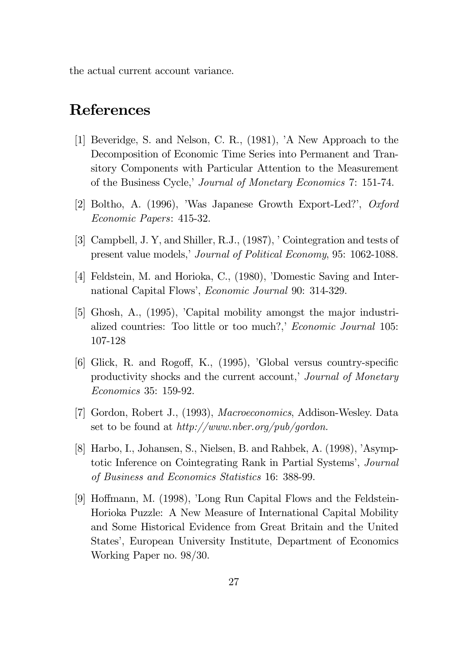the actual current account variance.

## **References**

- [1] Beveridge, S. and Nelson, C. R., (1981), 'A New Approach to the Decomposition of Economic Time Series into Permanent and Transitory Components with Particular Attention to the Measurement of the Business Cycle,' Journal of Monetary Economics 7: 151-74.
- [2] Boltho, A. (1996), 'Was Japanese Growth Export-Led?', Oxford *Economic Papers:* 415-32.
- [3] Campbell, J. Y, and Shiller, R.J., (1987), 'Cointegration and tests of present value models,' Journal of Political Economy, 95: 1062-1088.
- [4] Feldstein, M. and Horioka, C., (1980), 'Domestic Saving and International Capital Flows', *Economic Journal* 90: 314-329.
- [5] Ghosh, A., (1995), 'Capital mobility amongst the major industrialized countries: Too little or too much?,' Economic Journal 105: 107-128
- [6] Glick, R. and Rogoff, K., (1995), 'Global versus country-specific productivity shocks and the current account,' Journal of Monetary *Economics* 35: 159-92.
- [7] Gordon, Robert J., (1993), Macroeconomics, Addison-Wesley. Data set to be found at  $http://www.nber.org/public/qordon.$
- [8] Harbo, I., Johansen, S., Nielsen, B. and Rahbek, A. (1998), 'Asymptotic Inference on Cointegrating Rank in Partial Systems', *Journal* of Business and Economics Statistics 16: 388-99.
- [9] Hoffmann, M. (1998), 'Long Run Capital Flows and the Feldstein-Horioka Puzzle: A New Measure of International Capital Mobility and Some Historical Evidence from Great Britain and the United States', European University Institute, Department of Economics Working Paper no.  $98/30$ .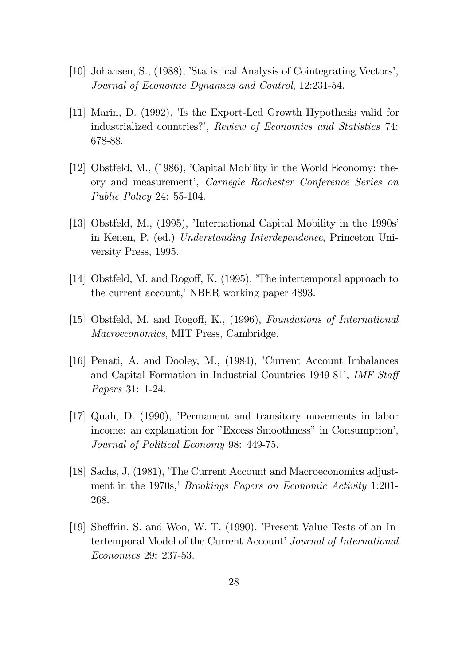- [10] Johansen, S., (1988), 'Statistical Analysis of Cointegrating Vectors', Journal of Economic Dynamics and Control, 12:231-54.
- $[11]$  Marin, D.  $(1992)$ , 'Is the Export-Led Growth Hypothesis valid for industrialized countries?', Review of Economics and Statistics 74: 678-88.
- [12] Obstfeld, M., (1986), 'Capital Mobility in the World Economy: theory and measurement', Carnegie Rochester Conference Series on  $Public Policy 24: 55-104.$
- [13] Obstfeld, M.,  $(1995)$ , 'International Capital Mobility in the 1990s' in Kenen, P. (ed.) Understanding Interdependence, Princeton University Press, 1995.
- [14] Obstfeld, M. and Rogoff, K. (1995), 'The intertemporal approach to the current account,' NBER working paper 4893.
- [15] Obstfeld, M. and Rogoff, K., (1996), Foundations of International *Macroeconomics*, MIT Press, Cambridge.
- [16] Penati, A. and Dooley, M.,  $(1984)$ , 'Current Account Imbalances and Capital Formation in Industrial Countries 1949-81', IMF Staff Papers 31: 1-24.
- $[17]$  Quah, D.  $(1990)$ , 'Permanent and transitory movements in labor income: an explanation for "Excess Smoothness" in Consumption', Journal of Political Economy 98: 449-75.
- [18] Sachs, J.  $(1981)$ . The Current Account and Macroeconomics adjustphoton in the 1970s,' Brookings Papers on Economic Activity 1:201-268.
- [19] Sheffrin, S. and Woo, W. T. (1990), 'Present Value Tests of an Intertemporal Model of the Current Account' Journal of International Economics 29: 237-53.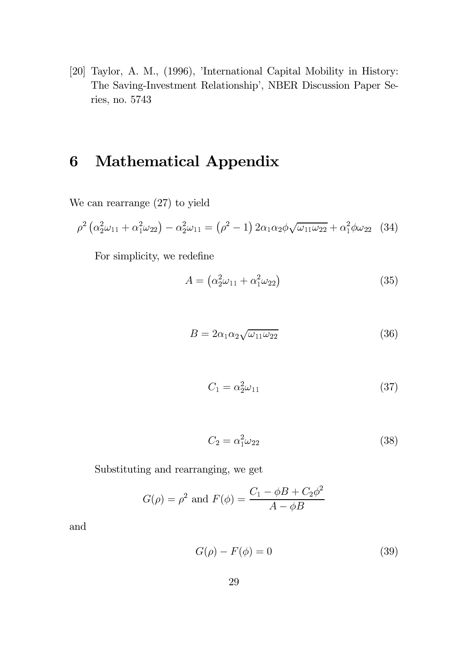[20] Taylor, A. M., (1996), 'International Capital Mobility in History: The Saving-Investment Relationship', NBER Discussion Paper Series, no. 5743

### Mathematical Appendix 6

We can rearrange  $(27)$  to yield

$$
\rho^2 \left( \alpha_2^2 \omega_{11} + \alpha_1^2 \omega_{22} \right) - \alpha_2^2 \omega_{11} = \left( \rho^2 - 1 \right) 2 \alpha_1 \alpha_2 \phi \sqrt{\omega_{11} \omega_{22}} + \alpha_1^2 \phi \omega_{22} \tag{34}
$$

For simplicity, we redefine

$$
A = \left(\alpha_2^2 \omega_{11} + \alpha_1^2 \omega_{22}\right) \tag{35}
$$

$$
B = 2\alpha_1 \alpha_2 \sqrt{\omega_{11} \omega_{22}} \tag{36}
$$

$$
C_1 = \alpha_2^2 \omega_{11} \tag{37}
$$

$$
C_2 = \alpha_1^2 \omega_{22} \tag{38}
$$

Substituting and rearranging, we get

$$
G(\rho) = \rho^2
$$
 and  $F(\phi) = \frac{C_1 - \phi B + C_2 \phi^2}{A - \phi B}$ 

and

$$
G(\rho) - F(\phi) = 0 \tag{39}
$$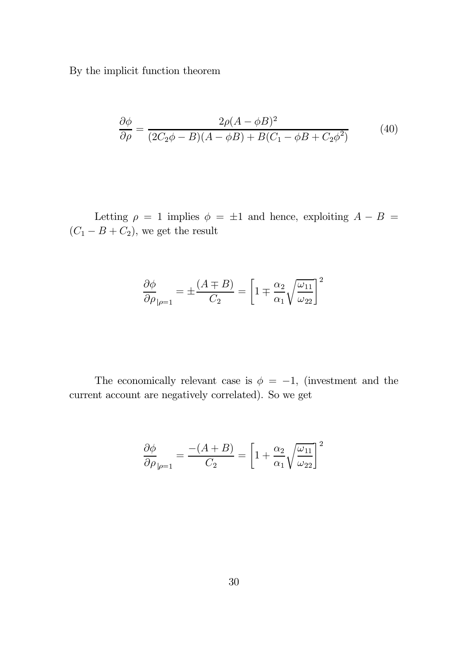By the implicit function theorem  $% \mathcal{N}$ 

$$
\frac{\partial \phi}{\partial \rho} = \frac{2\rho(A - \phi B)^2}{(2C_2\phi - B)(A - \phi B) + B(C_1 - \phi B + C_2\phi^2)}
$$
(40)

Letting  $\rho = 1$  implies  $\phi = \pm 1$  and hence, exploiting  $A - B =$  $(C_1 - B + C_2)$ , we get the result

$$
\frac{\partial \phi}{\partial \rho}_{|\rho=1} = \pm \frac{(A \mp B)}{C_2} = \left[1 \mp \frac{\alpha_2}{\alpha_1} \sqrt{\frac{\omega_{11}}{\omega_{22}}}\right]^2
$$

The economically relevant case is  $\phi = -1$ , (investment and the current account are negatively correlated). So we get

$$
\frac{\partial \phi}{\partial \rho}_{|\rho=1} = \frac{-(A+B)}{C_2} = \left[1 + \frac{\alpha_2}{\alpha_1} \sqrt{\frac{\omega_{11}}{\omega_{22}}}\right]^2
$$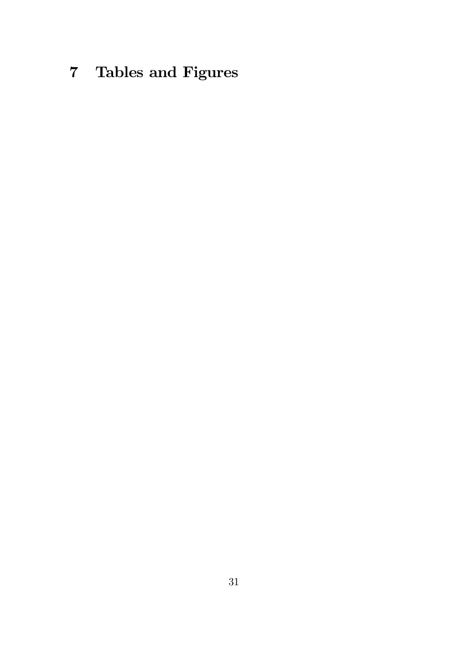# 7 Tables and Figures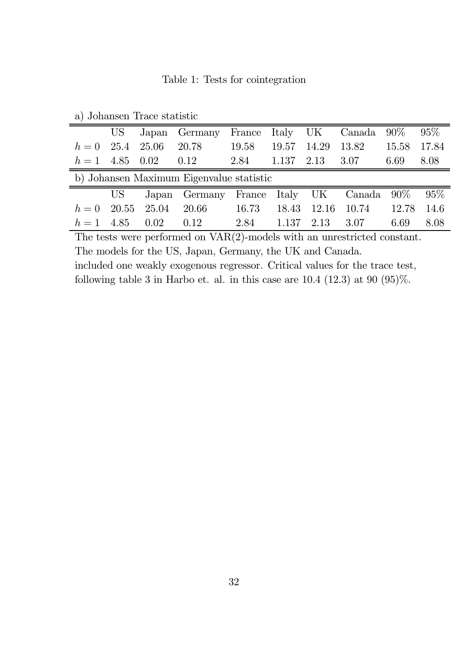Table 1: Tests for cointegration

| a) contains in trace statistic |                                          |                     |                                                 |       |       |                       |                   |       |        |  |  |
|--------------------------------|------------------------------------------|---------------------|-------------------------------------------------|-------|-------|-----------------------|-------------------|-------|--------|--|--|
|                                |                                          |                     | US Japan Germany France Italy UK Canada 90% 95% |       |       |                       |                   |       |        |  |  |
| $h = 0$ 25.4 25.06             |                                          |                     | 20.78                                           | 19.58 | 19.57 |                       | 14.29 13.82       | 15.58 | 17.84  |  |  |
| $h = 1$ 4.85 0.02              |                                          |                     | 0.12                                            | 2.84  |       | $1.137$ $2.13$ $3.07$ |                   | 6.69  | 8.08   |  |  |
|                                | b) Johansen Maximum Eigenvalue statistic |                     |                                                 |       |       |                       |                   |       |        |  |  |
|                                |                                          |                     | US Japan Germany France Italy UK Canada 90%     |       |       |                       |                   |       | $95\%$ |  |  |
|                                |                                          | $h = 0$ 20.55 25.04 | -- 20.66                                        | 16.73 |       |                       | 18.43 12.16 10.74 | 12.78 | 14.6   |  |  |
| $h = 1$ 4.85 0.02              |                                          |                     | 0.12                                            | 2.84  |       | $1.137$ $2.13$        | 3.07              | 6.69  | 8.08   |  |  |

a) Johansen Trace statistic

The tests were performed on  $VAR(2)$ -models with an unrestricted constant. The models for the US, Japan, Germany, the UK and Canada. included one weakly exogenous regressor. Critical values for the trace test, following table 3 in Harbo et. al. in this case are  $10.4$   $(12.3)$  at  $90$   $(95)\%$ .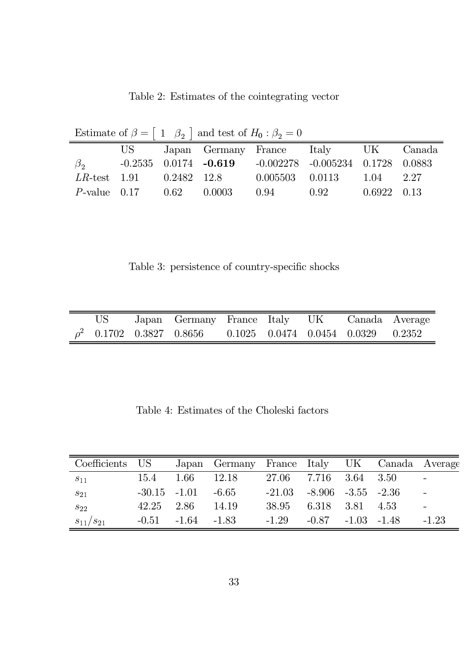| Estimate of $\beta = \begin{bmatrix} 1 & \beta_2 \end{bmatrix}$ and test of $H_0: \beta_2 = 0$ |                                   |  |                      |                     |                                                                       |                     |  |  |  |
|------------------------------------------------------------------------------------------------|-----------------------------------|--|----------------------|---------------------|-----------------------------------------------------------------------|---------------------|--|--|--|
|                                                                                                | US —                              |  |                      |                     | Japan Germany France Italy UK Canada                                  |                     |  |  |  |
| $\beta_{2}$                                                                                    |                                   |  |                      |                     | $-0.2535$ $0.0174$ $-0.619$ $-0.002278$ $-0.005234$ $0.1728$ $0.0883$ |                     |  |  |  |
|                                                                                                | $LR$ -test $1.91$ $0.2482$ $12.8$ |  |                      | $0.005503$ $0.0113$ |                                                                       | 1.04 2.27           |  |  |  |
| $P$ -value 0.17                                                                                |                                   |  | $0.62 \qquad 0.0003$ | 0.94                | 0.92                                                                  | $0.6922 \quad 0.13$ |  |  |  |

Table 2: Estimates of the cointegrating vector

Table 3: persistence of country-specific shocks

|  | Japan Germany France Italy UK Canada Average                     |  |  |  |
|--|------------------------------------------------------------------|--|--|--|
|  | $\rho^2$ 0.1702 0.3827 0.8656 0.1025 0.0474 0.0454 0.0329 0.2352 |  |  |  |

Table 4: Estimates of the Choleski factors

| Coefficients    | US <sup>-</sup> |         | Japan Germany France Italy UK Canada Average |          |                          |               |      |                          |
|-----------------|-----------------|---------|----------------------------------------------|----------|--------------------------|---------------|------|--------------------------|
| $s_{11}$        | 15.4            | 1.66    | 12.18                                        | 27.06    | 7.716                    | 3.64 3.50     |      |                          |
| $s_{21}$        | $-30.15 -1.01$  |         | $-6.65$                                      | $-21.03$ | $-8.906$ $-3.55$ $-2.36$ |               |      | $\overline{\phantom{m}}$ |
| $S_{22}$        | 42.25           | 2.86    | 14.19                                        | 38.95    | 6.318                    | 3.81          | 4.53 |                          |
| $s_{11}/s_{21}$ | $-0.51$         | $-1.64$ | $-1.83$                                      | $-1.29$  | -0.87                    | $-1.03 -1.48$ |      | $-1.23$                  |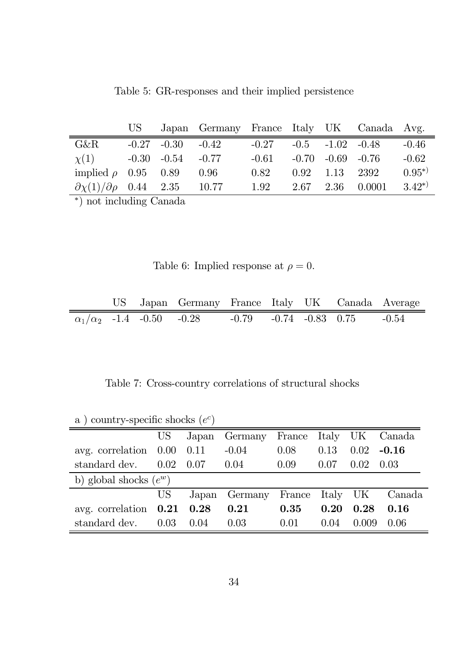|                                                  |                         | US Japan Germany France Italy UK Canada Avg. |                                |                         |                  |            |
|--------------------------------------------------|-------------------------|----------------------------------------------|--------------------------------|-------------------------|------------------|------------|
| $G\&R$                                           | $-0.27$ $-0.30$ $-0.42$ |                                              | $-0.27$ $-0.5$ $-1.02$ $-0.48$ |                         |                  | $-0.46$    |
| $\chi(1)$                                        | $-0.30$ $-0.54$ $-0.77$ |                                              | $-0.61$                        | $-0.70$ $-0.69$ $-0.76$ |                  | $-0.62$    |
| implied $\rho$ 0.95 0.89 0.96                    |                         |                                              | 0.82                           | $0.92$ $1.13$ $2392$    |                  | $0.95^{*}$ |
| $\partial \chi(1)/\partial \rho$ 0.44 2.35 10.77 |                         |                                              | 1.92                           |                         | 2.67 2.36 0.0001 | $3.42^{*}$ |

Table 5: GR-responses and their implied persistence

 $\overline{\phantom{a}}^*$  ) not including Canada

Table 6: Implied response at  $\rho = 0$ .

|  | US Japan Germany France Italy UK Canada Average                   |  |  |  |
|--|-------------------------------------------------------------------|--|--|--|
|  | $\alpha_1/\alpha_2$ -1.4 -0.50 -0.28 -0.79 -0.74 -0.83 0.75 -0.54 |  |  |  |

Table 7: Cross-country correlations of structural shocks

| a, country-specific shocks (e) |                          |       |                                |        |      |       |                 |  |  |  |
|--------------------------------|--------------------------|-------|--------------------------------|--------|------|-------|-----------------|--|--|--|
|                                | US <sup>-</sup>          | Japan | Germany France Italy UK Canada |        |      |       |                 |  |  |  |
| avg. correlation               | 0.00                     | 0.11  | $-0.04$                        | 0.08   | 0.13 | 0.02  | $-0.16$         |  |  |  |
| standard dev.                  | 0.02                     | 0.07  | 0.04                           | 0.09   | 0.07 | 0.02  | 0.03            |  |  |  |
|                                | b) global shocks $(e^w)$ |       |                                |        |      |       |                 |  |  |  |
|                                | US <sup>-</sup>          |       | Japan Germany                  | France |      |       | Italy UK Canada |  |  |  |
| avg. correlation               | $0.21\quad 0.28$         |       | 0.21                           | 0.35   | 0.20 | 0.28  | 0.16            |  |  |  |
| standard dev.                  | 0.03                     | 0.04  | 0.03                           | 0.01   | 0.04 | 0.009 | 0.06            |  |  |  |

a) country-specific shocks  $(e^c)$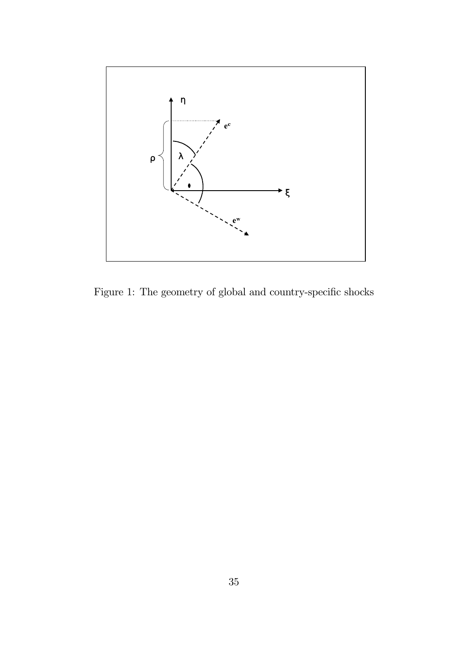

Figure 1: The geometry of global and country-specific shocks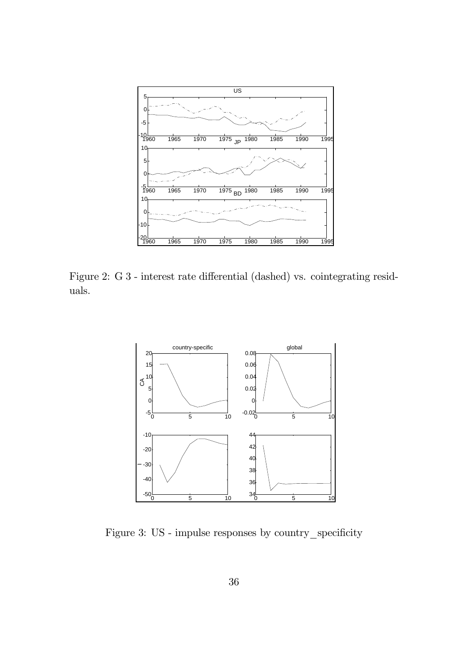

Figure 2: G 3 - interest rate differential (dashed) vs. cointegrating residuals.



Figure 3: US - impulse responses by country\_specificity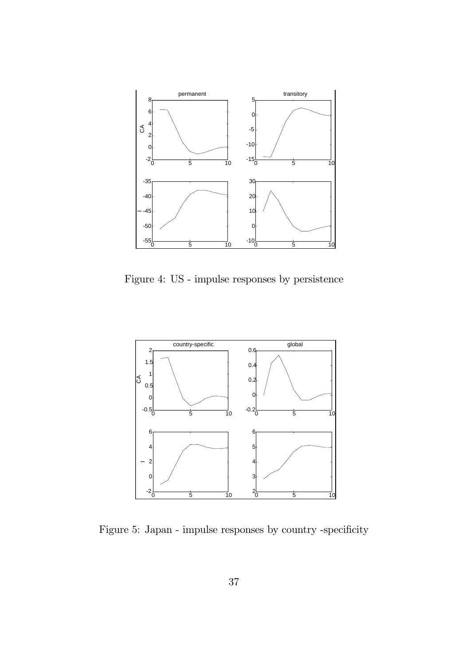

Figure 4: US - impulse responses by persistence



Figure 5: Japan - impulse responses by country -specificity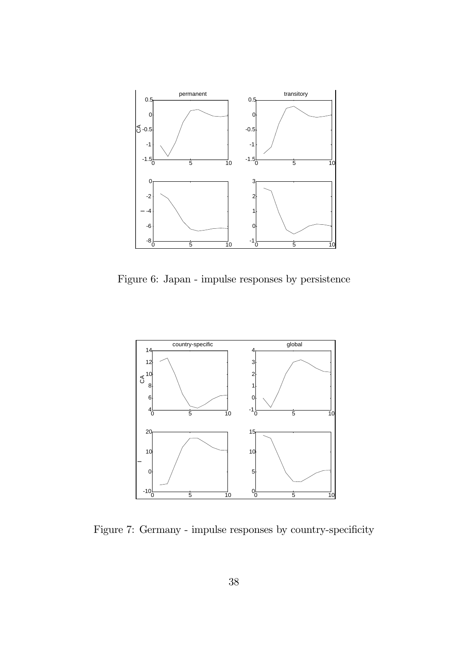

Figure 6: Japan - impulse responses by persistence



Figure 7: Germany - impulse responses by country-specificity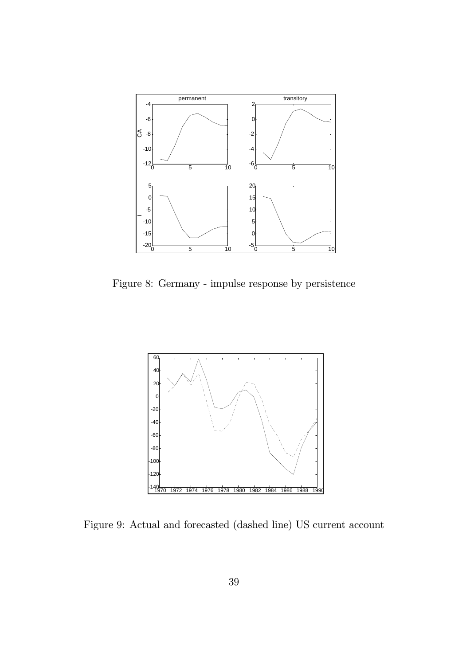

Figure 8: Germany - impulse response by persistence



Figure 9: Actual and forecasted (dashed line) US current account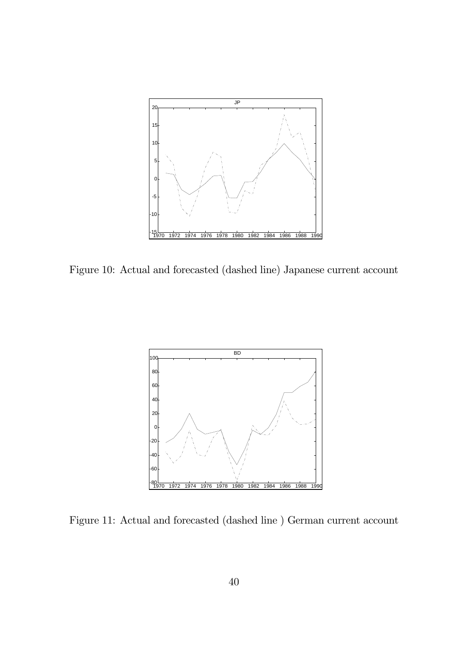

Figure 10: Actual and forecasted (dashed line) Japanese current account



Figure 11: Actual and forecasted (dashed line ) German current account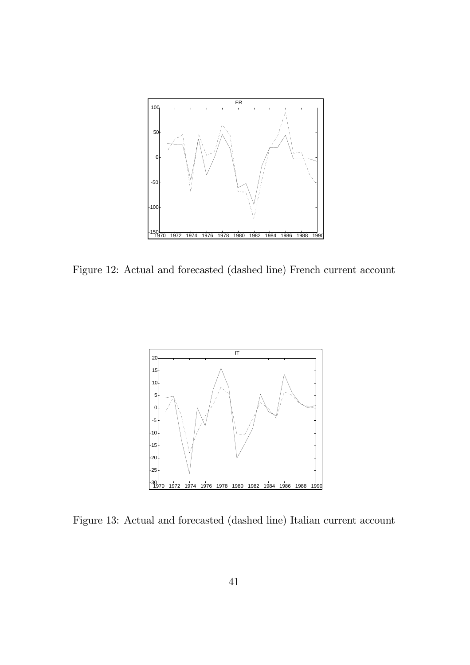

Figure 12: Actual and forecasted (dashed line) French current account



Figure 13: Actual and forecasted (dashed line) Italian current account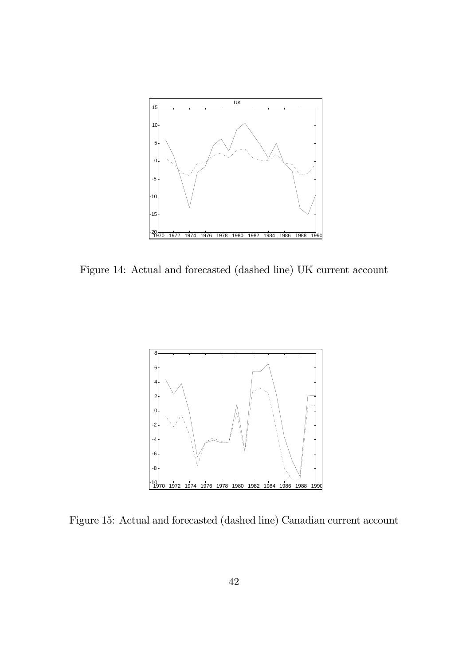

Figure 14: Actual and forecasted (dashed line) UK current account



Figure 15: Actual and forecasted (dashed line) Canadian current account